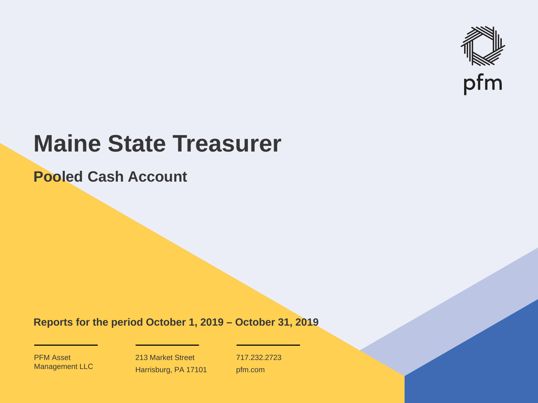

# **Maine State Treasurer**

**Pooled Cash Account**

**Reports for the period October 1, 2019 – October 31, 2019**

PFM Asset Management LLC

213 Market Street Harrisburg, PA 17101 717.232.2723 pfm.com

 $\mathcal{P}_\text{max}$  and  $\mathcal{P}_\text{max}$  is the probability of  $\mathcal{P}_\text{max}$  and  $\mathcal{P}_\text{max}$  and  $\mathcal{P}_\text{max}$  and  $\mathcal{P}_\text{max}$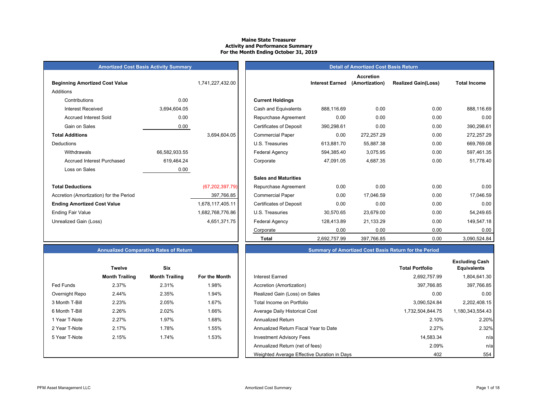#### **Maine State Treasurer Activity and Performance Summary For the Month Ending October 31, 2019**

| <b>Amortized Cost Basis Activity Summary</b> |  |
|----------------------------------------------|--|
|----------------------------------------------|--|

| <b>Beginning Amortized Cost Value</b>   |               | 1,741,227,432.00  |                                | <b>Interest Earned</b> |
|-----------------------------------------|---------------|-------------------|--------------------------------|------------------------|
| Additions                               |               |                   |                                |                        |
| Contributions                           | 0.00          |                   | <b>Current Holdings</b>        |                        |
| <b>Interest Received</b>                | 3,694,604.05  |                   | Cash and Equivalents           | 888,116.69             |
| <b>Accrued Interest Sold</b>            | 0.00          |                   | Repurchase Agreement           | 0.00                   |
| Gain on Sales                           | 0.00          |                   | <b>Certificates of Deposit</b> | 390,298.61             |
| <b>Total Additions</b>                  |               | 3,694,604.05      | <b>Commercial Paper</b>        | 0.00                   |
| Deductions                              |               |                   | U.S. Treasuries                | 613,881.70             |
| Withdrawals                             | 66,582,933.55 |                   | Federal Agency                 | 594,385.40             |
| Accrued Interest Purchased              | 619,464.24    |                   | Corporate                      | 47,091.05              |
| Loss on Sales                           | 0.00          |                   |                                |                        |
|                                         |               |                   | <b>Sales and Maturities</b>    |                        |
| <b>Total Deductions</b>                 |               | (67, 202, 397.79) | Repurchase Agreement           | 0.00                   |
| Accretion (Amortization) for the Period |               | 397,766.85        | <b>Commercial Paper</b>        | 0.00                   |
| <b>Ending Amortized Cost Value</b>      |               | 1,678,117,405.11  | <b>Certificates of Deposit</b> | 0.00                   |
| <b>Ending Fair Value</b>                |               | 1,682,768,776.86  | U.S. Treasuries                | 30,570.65              |
| Unrealized Gain (Loss)                  |               | 4,651,371.75      | Federal Agency                 | 128,413.89             |
|                                         |               |                   |                                | $\sim$ $\sim$ $\sim$   |

| <b>Amortized Cost Basis Activity Summary</b> |               |                   | <b>Detail of Amortized Cost Basis Return</b> |                        |                                    |                            |                     |
|----------------------------------------------|---------------|-------------------|----------------------------------------------|------------------------|------------------------------------|----------------------------|---------------------|
| <b>Beginning Amortized Cost Value</b>        |               | 1,741,227,432.00  |                                              | <b>Interest Earned</b> | <b>Accretion</b><br>(Amortization) | <b>Realized Gain(Loss)</b> | <b>Total Income</b> |
| Additions                                    |               |                   |                                              |                        |                                    |                            |                     |
| Contributions                                | 0.00          |                   | <b>Current Holdings</b>                      |                        |                                    |                            |                     |
| <b>Interest Received</b>                     | 3,694,604.05  |                   | Cash and Equivalents                         | 888.116.69             | 0.00                               | 0.00                       | 888,116.69          |
| <b>Accrued Interest Sold</b>                 | 0.00          |                   | Repurchase Agreement                         | 0.00                   | 0.00                               | 0.00                       | 0.00                |
| Gain on Sales                                | 0.00          |                   | <b>Certificates of Deposit</b>               | 390,298.61             | 0.00                               | 0.00                       | 390,298.61          |
| <b>Total Additions</b>                       |               | 3,694,604.05      | <b>Commercial Paper</b>                      | 0.00                   | 272,257.29                         | 0.00                       | 272,257.29          |
| <b>Deductions</b>                            |               |                   | U.S. Treasuries                              | 613,881.70             | 55,887.38                          | 0.00                       | 669,769.08          |
| Withdrawals                                  | 66,582,933.55 |                   | Federal Agency                               | 594,385.40             | 3,075.95                           | 0.00                       | 597,461.35          |
| <b>Accrued Interest Purchased</b>            | 619,464.24    |                   | Corporate                                    | 47.091.05              | 4,687.35                           | 0.00                       | 51,778.40           |
| Loss on Sales                                | 0.00          |                   |                                              |                        |                                    |                            |                     |
|                                              |               |                   | <b>Sales and Maturities</b>                  |                        |                                    |                            |                     |
| <b>Total Deductions</b>                      |               | (67, 202, 397.79) | Repurchase Agreement                         | 0.00                   | 0.00                               | 0.00                       | 0.00                |
| Accretion (Amortization) for the Period      |               | 397,766.85        | <b>Commercial Paper</b>                      | 0.00                   | 17,046.59                          | 0.00                       | 17,046.59           |
| <b>Ending Amortized Cost Value</b>           |               | 1,678,117,405.11  | <b>Certificates of Deposit</b>               | 0.00                   | 0.00                               | 0.00                       | 0.00                |
| Ending Fair Value                            |               | 1,682,768,776.86  | U.S. Treasuries                              | 30,570.65              | 23,679.00                          | 0.00                       | 54,249.65           |
| Unrealized Gain (Loss)                       |               | 4,651,371.75      | Federal Agency                               | 128,413.89             | 21,133.29                          | 0.00                       | 149,547.18          |
|                                              |               |                   | Corporate                                    | 0.00                   | 0.00                               | 0.00                       | 0.00                |
|                                              |               |                   | <b>Total</b>                                 | 2,692,757.99           | 397,766.85                         | 0.00                       | 3,090,524.84        |

|                | <b>Twelve</b>         | Six                   |               |
|----------------|-----------------------|-----------------------|---------------|
|                | <b>Month Trailing</b> | <b>Month Trailing</b> | For the Month |
| Fed Funds      | 2.37%                 | 2.31%                 | 1.98%         |
| Overnight Repo | 2.44%                 | 2.35%                 | 1.94%         |
| 3 Month T-Bill | 2.23%                 | 2.05%                 | 1.67%         |
| 6 Month T-Bill | 2.26%                 | 2.02%                 | 1.66%         |
| 1 Year T-Note  | 2.27%                 | 1.97%                 | 1.68%         |
| 2 Year T-Note  | 2.17%                 | 1.78%                 | 1.55%         |
| 5 Year T-Note  | 2.15%                 | 1.74%                 | 1.53%         |
|                |                       |                       |               |
|                |                       |                       |               |

# **Annualized Comparative Rates of Return Summary of Amortized Cost Basis Return for the Period**

|                  | <b>Twelve</b>         | Six                   |               |                                             | <b>Total Portfolio</b> | <b>Excluding Cash</b><br><b>Equivalents</b> |
|------------------|-----------------------|-----------------------|---------------|---------------------------------------------|------------------------|---------------------------------------------|
|                  | <b>Month Trailing</b> | <b>Month Trailing</b> | For the Month | <b>Interest Earned</b>                      | 2,692,757.99           | 1,804,641.30                                |
| <b>Fed Funds</b> | 2.37%                 | 2.31%                 | 1.98%         | Accretion (Amortization)                    | 397,766.85             | 397,766.85                                  |
| Overnight Repo   | 2.44%                 | 2.35%                 | 1.94%         | Realized Gain (Loss) on Sales               | 0.00                   | 0.00                                        |
| 3 Month T-Bill   | 2.23%                 | 2.05%                 | 1.67%         | Total Income on Portfolio                   | 3,090,524.84           | 2,202,408.15                                |
| 6 Month T-Bill   | 2.26%                 | 2.02%                 | 1.66%         | Average Daily Historical Cost               | 1,732,504,844.75       | 1,180,343,554.43                            |
| 1 Year T-Note    | 2.27%                 | 1.97%                 | 1.68%         | <b>Annualized Return</b>                    | 2.10%                  | 2.20%                                       |
| 2 Year T-Note    | 2.17%                 | 1.78%                 | 1.55%         | Annualized Return Fiscal Year to Date       | 2.27%                  | 2.32%                                       |
| 5 Year T-Note    | 2.15%                 | 1.74%                 | 1.53%         | Investment Advisory Fees                    | 14,583.34              | n/a                                         |
|                  |                       |                       |               | Annualized Return (net of fees)             | 2.09%                  | n/a                                         |
|                  |                       |                       |               | Weighted Average Effective Duration in Days | 402                    | 554                                         |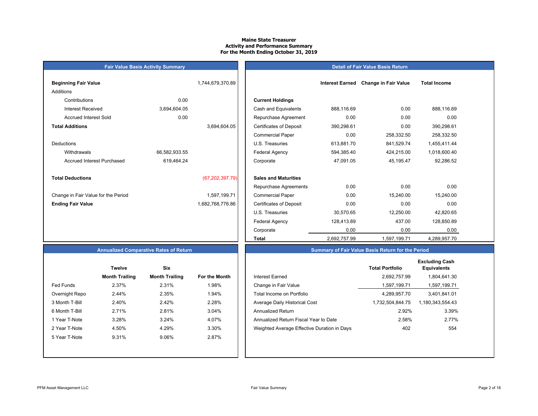# **Maine State TreasurerActivity and Performance Summary For the Month Ending October 31, 2019**

#### **Detail of Fair Value Basis Return**

|               | 1,744,679,370.89  |                                |
|---------------|-------------------|--------------------------------|
|               |                   |                                |
| 0.00          |                   | <b>Current Holdings</b>        |
| 3,694,604.05  |                   | Cash and Equivalents           |
| 0.00          |                   | Repurchase Agreeme             |
|               | 3,694,604.05      | <b>Certificates of Deposit</b> |
|               |                   | <b>Commercial Paper</b>        |
|               |                   | U.S. Treasuries                |
| 66,582,933.55 |                   | <b>Federal Agency</b>          |
| 619,464.24    |                   | Corporate                      |
|               |                   |                                |
|               | (67, 202, 397.79) | <b>Sales and Maturities</b>    |
|               |                   | Repurchase Agreeme             |
|               | 1,597,199.71      | <b>Commercial Paper</b>        |
|               | 1,682,768,776.86  | <b>Certificates of Deposit</b> |
|               |                   |                                |

**Fair Value Basis Activity Summary**

| Beginning Fair Value                |               | 1,744,679,370.89  |                                | <b>Interest Earned</b> | <b>Change in Fair Value</b> | <b>Total Income</b> |  |
|-------------------------------------|---------------|-------------------|--------------------------------|------------------------|-----------------------------|---------------------|--|
| Additions                           |               |                   |                                |                        |                             |                     |  |
| Contributions                       | 0.00          |                   | <b>Current Holdings</b>        |                        |                             |                     |  |
| <b>Interest Received</b>            | 3,694,604.05  |                   | Cash and Equivalents           | 888,116.69             | 0.00                        | 888,116.69          |  |
| <b>Accrued Interest Sold</b>        | 0.00          |                   | Repurchase Agreement           | 0.00                   | 0.00                        | 0.00                |  |
| <b>Total Additions</b>              |               | 3,694,604.05      | <b>Certificates of Deposit</b> | 390,298.61             | 0.00                        | 390,298.61          |  |
|                                     |               |                   | <b>Commercial Paper</b>        | 0.00                   | 258,332.50                  | 258,332.50          |  |
| Deductions                          |               |                   | U.S. Treasuries                | 613,881.70             | 841,529.74                  | 1,455,411.44        |  |
| Withdrawals                         | 66,582,933.55 |                   | Federal Agency                 | 594,385.40             | 424,215.00                  | 1,018,600.40        |  |
| <b>Accrued Interest Purchased</b>   | 619,464.24    |                   | Corporate                      | 47,091.05              | 45,195.47                   | 92,286.52           |  |
| <b>Total Deductions</b>             |               | (67, 202, 397.79) | <b>Sales and Maturities</b>    |                        |                             |                     |  |
|                                     |               |                   | Repurchase Agreements          | 0.00                   | 0.00                        | 0.00                |  |
| Change in Fair Value for the Period |               | 1,597,199.71      | <b>Commercial Paper</b>        | 0.00                   | 15,240.00                   | 15,240.00           |  |
| <b>Ending Fair Value</b>            |               | 1,682,768,776.86  | <b>Certificates of Deposit</b> | 0.00                   | 0.00                        | 0.00                |  |
|                                     |               |                   | U.S. Treasuries                | 30,570.65              | 12,250.00                   | 42,820.65           |  |
|                                     |               |                   | <b>Federal Agency</b>          | 128,413.89             | 437.00                      | 128,850.89          |  |
|                                     |               |                   | Corporate                      | 0.00                   | 0.00                        | 0.00                |  |
|                                     |               |                   | <b>Total</b>                   | 2,692,757.99           | 1,597,199.71                | 4,289,957.70        |  |

# **Annualized Comparative Rates of Return**

|                | Twelve                | Six                   |                      |
|----------------|-----------------------|-----------------------|----------------------|
|                | <b>Month Trailing</b> | <b>Month Trailing</b> | <b>For the Month</b> |
| Fed Funds      | 2.37%                 | 2.31%                 | 1.98%                |
| Overnight Repo | 2.44%                 | 2.35%                 | 1.94%                |
| 3 Month T-Bill | 2.40%                 | 2.42%                 | 2.28%                |
| 6 Month T-Bill | 2.71%                 | 2.81%                 | 3.04%                |
| 1 Year T-Note  | 3.28%                 | 3.24%                 | 4.07%                |
| 2 Year T-Note  | 4.50%                 | 4.29%                 | 3.30%                |
| 5 Year T-Note  | 9.31%                 | 9.06%                 | 2.87%                |
|                |                       |                       |                      |
|                |                       |                       |                      |

| <b>Twelve</b>         | <b>Six</b>            |               |                                             | <b>Total Portfolio</b> | <b>Excluding Cash</b><br><b>Equivalents</b> |
|-----------------------|-----------------------|---------------|---------------------------------------------|------------------------|---------------------------------------------|
| <b>Month Trailing</b> | <b>Month Trailing</b> | For the Month | Interest Earned                             | 2.692.757.99           | 1,804,641.30                                |
| 2.37%                 | 2.31%                 | l.98%         | Change in Fair Value                        | 1,597,199.71           | 1,597,199.71                                |
| 2.44%                 | 2.35%                 | 1.94%         | Total Income on Portfolio                   | 4.289.957.70           | 3,401,841.01                                |
| 2.40%                 | 2.42%                 | 2.28%         | Average Daily Historical Cost               | 1,732,504,844.75       | 1,180,343,554.43                            |
| 2.71%                 | 2.81%                 | 3.04%         | <b>Annualized Return</b>                    | 2.92%                  | 3.39%                                       |
| 3.28%                 | 3.24%                 | 4.07%         | Annualized Return Fiscal Year to Date       | 2.58%                  | 2.77%                                       |
| 4.50%                 | 4.29%                 | 3.30%         | Weighted Average Effective Duration in Days | 402                    | 554                                         |
| 9.31%                 | 9.06%                 | 2.87%         |                                             |                        |                                             |
|                       |                       |               |                                             |                        |                                             |

**Summary of Fair Value Basis Return for the Period**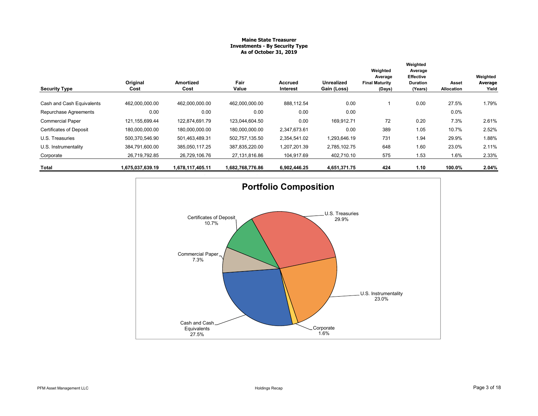# **Maine State Treasurer Investments - By Security Type As of October 31, 2019**

|                                |                   |                   |                  |                            |                                  | Weighted                                   | Weighted<br>Average                     |                     |                              |
|--------------------------------|-------------------|-------------------|------------------|----------------------------|----------------------------------|--------------------------------------------|-----------------------------------------|---------------------|------------------------------|
| <b>Security Type</b>           | Original<br>Cost  | Amortized<br>Cost | Fair<br>Value    | <b>Accrued</b><br>Interest | <b>Unrealized</b><br>Gain (Loss) | Average<br><b>Final Maturity</b><br>(Days) | Effective<br><b>Duration</b><br>(Years) | Asset<br>Allocation | Weighted<br>Average<br>Yield |
| Cash and Cash Equivalents      | 462,000,000.00    | 462,000,000.00    | 462,000,000.00   | 888,112.54                 | 0.00                             |                                            | 0.00                                    | 27.5%               | 1.79%                        |
| Repurchase Agreements          | 0.00              | 0.00              | 0.00             | 0.00                       | 0.00                             |                                            |                                         | $0.0\%$             |                              |
| <b>Commercial Paper</b>        | 121, 155, 699. 44 | 122.874.691.79    | 123,044,604.50   | 0.00                       | 169,912.71                       | 72                                         | 0.20                                    | 7.3%                | 2.61%                        |
| <b>Certificates of Deposit</b> | 180,000,000.00    | 180,000,000.00    | 180,000,000.00   | 2,347,673.61               | 0.00                             | 389                                        | 1.05                                    | 10.7%               | 2.52%                        |
| U.S. Treasuries                | 500,370,546.90    | 501,463,489.31    | 502,757,135.50   | 2,354,541.02               | 1,293,646.19                     | 731                                        | 1.94                                    | 29.9%               | 1.88%                        |
| U.S. Instrumentality           | 384,791,600.00    | 385,050,117.25    | 387,835,220.00   | 1,207,201.39               | 2,785,102.75                     | 648                                        | 1.60                                    | 23.0%               | 2.11%                        |
| Corporate                      | 26,719,792.85     | 26,729,106.76     | 27,131,816.86    | 104,917.69                 | 402,710.10                       | 575                                        | 1.53                                    | 1.6%                | 2.33%                        |
| Total                          | 1,675,037,639.19  | 1,678,117,405.11  | 1,682,768,776.86 | 6,902,446.25               | 4,651,371.75                     | 424                                        | 1.10                                    | 100.0%              | 2.04%                        |

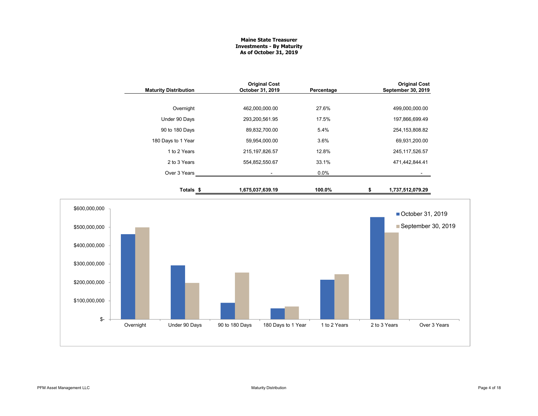# **Maine State Treasurer Investments - By Maturity As of October 31, 2019**

| <b>Maturity Distribution</b> | <b>Original Cost</b><br>October 31, 2019 | Percentage | <b>Original Cost</b><br>September 30, 2019 |
|------------------------------|------------------------------------------|------------|--------------------------------------------|
|                              |                                          |            |                                            |
| Overnight                    | 462,000,000.00                           | 27.6%      | 499,000,000.00                             |
| Under 90 Days                | 293,200,561.95                           | 17.5%      | 197,866,699.49                             |
| 90 to 180 Days               | 89,832,700.00                            | 5.4%       | 254, 153, 808.82                           |
| 180 Days to 1 Year           | 59,954,000.00                            | 3.6%       | 69,931,200.00                              |
| 1 to 2 Years                 | 215, 197, 826.57                         | 12.8%      | 245, 117, 526.57                           |
| 2 to 3 Years                 | 554,852,550.67                           | 33.1%      | 471,442,844.41                             |
| Over 3 Years                 |                                          | $0.0\%$    |                                            |
| Totals \$                    | 1,675,037,639.19                         | 100.0%     | \$<br>1,737,512,079.29                     |

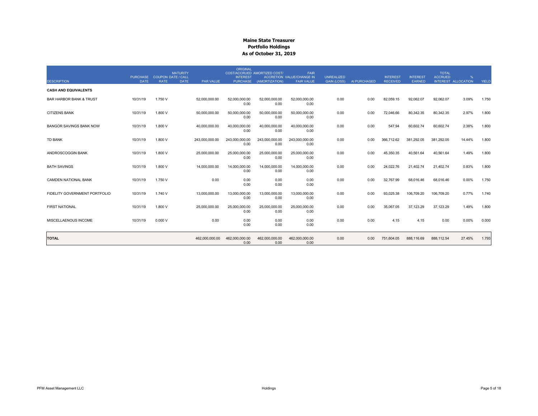|                                                   | <b>PURCHASE</b><br><b>DATE</b> | <b>COUPON DATE / CALL</b><br>RATE | <b>MATURITY</b><br><b>PAR VALUE</b> | ORIGINAL<br><b>INTEREST</b> | COST/ACCRUED AMORTIZED COST/<br>PURCHASE (AMORTIZATION) | <b>FAIR</b><br><b>ACCRETION VALUE/CHANGE IN</b> | <b>UNREALIZED</b>  | AI PURCHASED | <b>INTEREST</b><br><b>RECEIVED</b> | <b>INTEREST</b><br>EARNED | <b>TOTAL</b><br><b>ACCRUED</b> | %<br>INTEREST ALLOCATION | <b>YIELD</b> |
|---------------------------------------------------|--------------------------------|-----------------------------------|-------------------------------------|-----------------------------|---------------------------------------------------------|-------------------------------------------------|--------------------|--------------|------------------------------------|---------------------------|--------------------------------|--------------------------|--------------|
| <b>DESCRIPTION</b><br><b>CASH AND EQUIVALENTS</b> |                                |                                   | <b>DATE</b>                         |                             |                                                         | <b>FAIR VALUE</b>                               | <b>GAIN (LOSS)</b> |              |                                    |                           |                                |                          |              |
| <b>BAR HARBOR BANK &amp; TRUST</b>                | 10/31/19                       | 1.750 V                           | 52.000.000.00                       | 52.000.000.00<br>0.00       | 52.000.000.00<br>0.00                                   | 52.000.000.00<br>0.00                           | 0.00               | 0.00         | 82,059.15                          | 92,062.07                 | 92.062.07                      | 3.09%                    | 1.750        |
| <b>CITIZENS BANK</b>                              | 10/31/19                       | 1.800 V                           | 50,000,000.00                       | 50,000,000.00<br>0.00       | 50,000,000.00<br>0.00                                   | 50.000.000.00<br>0.00                           | 0.00               | 0.00         | 72,046.66                          | 80,342.35                 | 80,342.35                      | 2.97%                    | 1.800        |
| <b>BANGOR SAVINGS BANK NOW</b>                    | 10/31/19                       | 1.800 V                           | 40.000.000.00                       | 40,000,000.00<br>0.00       | 40.000.000.00<br>0.00                                   | 40.000.000.00<br>0.00                           | 0.00               | 0.00         | 547.94                             | 60.602.74                 | 60.602.74                      | 2.38%                    | 1.800        |
| TD BANK                                           | 10/31/19                       | 1.800 V                           | 243,000,000.00                      | 243,000,000.00<br>0.00      | 243,000,000.00<br>0.00                                  | 243,000,000.00<br>0.00                          | 0.00               | 0.00         | 366,712.62                         | 381,292.05                | 381,292.05                     | 14.44%                   | 1.800        |
| ANDROSCOGGIN BANK                                 | 10/31/19                       | 1.800 V                           | 25,000,000.00                       | 25.000.000.00<br>0.00       | 25,000,000.00<br>0.00                                   | 25,000,000.00<br>0.00                           | 0.00               | 0.00         | 45,350.35                          | 40,561.64                 | 40,561.64                      | 1.49%                    | 1.800        |
| <b>BATH SAVINGS</b>                               | 10/31/19                       | 1.800 V                           | 14,000,000.00                       | 14,000,000.00<br>0.00       | 14,000,000.00<br>0.00                                   | 14,000,000.00<br>0.00                           | 0.00               | 0.00         | 24,022.76                          | 21,402.74                 | 21,402.74                      | 0.83%                    | 1.800        |
| <b>CAMDEN NATIONAL BANK</b>                       | 10/31/19                       | 1.750 V                           | 0.00                                | 0.00<br>0.00                | 0.00<br>0.00                                            | 0.00<br>0.00                                    | 0.00               | 0.00         | 32,767.99                          | 68,016.46                 | 68,016.46                      | 0.00%                    | 1.750        |
| FIDELITY GOVERNMENT PORTFOLIO                     | 10/31/19                       | 1.740 V                           | 13,000,000.00                       | 13,000,000.00<br>0.00       | 13,000,000.00<br>0.00                                   | 13,000,000.00<br>0.00                           | 0.00               | 0.00         | 93,025.38                          | 106,709.20                | 106,709.20                     | 0.77%                    | 1.740        |
| <b>FIRST NATIONAL</b>                             | 10/31/19                       | 1.800 V                           | 25,000,000.00                       | 25,000,000.00<br>0.00       | 25,000,000.00<br>0.00                                   | 25,000,000.00<br>0.00                           | 0.00               | 0.00         | 35,067.05                          | 37,123.29                 | 37,123.29                      | 1.49%                    | 1.800        |
| MISCELLAENOUS INCOME                              | 10/31/19                       | 0.000V                            | 0.00                                | 0.00<br>0.00                | 0.00<br>0.00                                            | 0.00<br>0.00                                    | 0.00               | 0.00         | 4.15                               | 4.15                      | 0.00                           | 0.00%                    | 0.000        |
| <b>TOTAL</b>                                      |                                |                                   | 462,000,000.00                      | 462,000,000.00<br>0.00      | 462,000,000.00<br>0.00                                  | 462,000,000.00<br>0.00                          | 0.00               | 0.00         | 751,604.05                         | 888,116.69                | 888,112.54                     | 27.45%                   | 1.793        |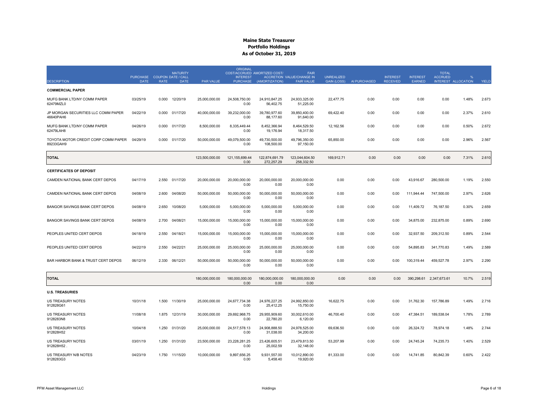|                                                  |                                            |             | <b>MATURITY</b> |                  | <b>ORIGINAL</b>                    | COST/ACCRUED AMORTIZED COST/ | <b>FAIR</b>                                           |                                         |              |                                    |                                  | <b>TOTAL</b>            |                     |       |
|--------------------------------------------------|--------------------------------------------|-------------|-----------------|------------------|------------------------------------|------------------------------|-------------------------------------------------------|-----------------------------------------|--------------|------------------------------------|----------------------------------|-------------------------|---------------------|-------|
| <b>DESCRIPTION</b>                               | PURCHASE COUPON DATE / CALL<br><b>DATE</b> | <b>RATE</b> | <b>DATE</b>     | <b>PAR VALUE</b> | <b>INTEREST</b><br><b>PURCHASE</b> | (AMORTIZATION)               | <b>ACCRETION VALUE/CHANGE IN</b><br><b>FAIR VALUE</b> | <b>UNREALIZED</b><br><b>GAIN (LOSS)</b> | AI PURCHASED | <b>INTEREST</b><br><b>RECEIVED</b> | <b>INTEREST</b><br><b>EARNED</b> | <b>ACCRUED</b>          | INTEREST ALLOCATION | YIELD |
| <b>COMMERCIAL PAPER</b>                          |                                            |             |                 |                  |                                    |                              |                                                       |                                         |              |                                    |                                  |                         |                     |       |
| MUFG BANK LTD/NY COMM PAPER<br>62479MZL0         | 03/25/19                                   | 0.000       | 12/20/19        | 25,000,000.00    | 24,508,750.00<br>0.00              | 24,910,847.25<br>56,402.75   | 24,933,325.00<br>51,225.00                            | 22,477.75                               | 0.00         | 0.00                               | 0.00                             | 0.00                    | 1.48%               | 2.673 |
| JP MORGAN SECURITIES LLC COMM PAPER<br>46640PAH6 | 04/22/19                                   |             | 0.000 01/17/20  | 40,000,000.00    | 39,232,000.00<br>0.00              | 39,780,977.60<br>88.177.60   | 39,850,400.00<br>91.640.00                            | 69,422.40                               | 0.00         | 0.00                               | 0.00                             | 0.00                    | 2.37%               | 2.610 |
| MUFG BANK LTD/NY COMM PAPER<br>62479LAH8         | 04/26/19                                   | 0.000       | 01/17/20        | 8,500,000.00     | 8,335,449.44<br>0.00               | 8,452,366.94<br>19,176.94    | 8,464,529.50<br>18,317.50                             | 12,162.56                               | 0.00         | 0.00                               | 0.00                             | 0.00                    | 0.50%               | 2.672 |
| TOYOTA MOTOR CREDIT CORP COMM PAPER<br>89233GAH9 | 04/29/19                                   | 0.000       | 01/17/20        | 50,000,000.00    | 49,079,500.00<br>0.00              | 49,730,500.00<br>108,500.00  | 49,796,350.00<br>97,150.00                            | 65,850.00                               | 0.00         | 0.00                               | 0.00                             | 0.00                    | 2.96%               | 2.567 |
| <b>TOTAL</b>                                     |                                            |             |                 | 123.500.000.00   | 121.155.699.44<br>0.00             | 122.874.691.79<br>272,257.29 | 123.044.604.50<br>258,332.50                          | 169.912.71                              | 0.00         | 0.00                               | 0.00                             | 0.00                    | 7.31%               | 2.610 |
| <b>CERTIFICATES OF DEPOSIT</b>                   |                                            |             |                 |                  |                                    |                              |                                                       |                                         |              |                                    |                                  |                         |                     |       |
| CAMDEN NATIONAL BANK CERT DEPOS                  | 04/17/19                                   | 2.550       | 01/17/20        | 20,000,000.00    | 20,000,000.00<br>0.00              | 20,000,000.00<br>0.00        | 20,000,000.00<br>0.00                                 | 0.00                                    | 0.00         | 0.00                               | 43,916.67                        | 280,500.00              | 1.19%               | 2.550 |
| CAMDEN NATIONAL BANK CERT DEPOS                  | 04/08/19                                   | 2.600       | 04/08/20        | 50,000,000.00    | 50,000,000.00<br>0.00              | 50,000,000.00<br>0.00        | 50,000,000.00<br>0.00                                 | 0.00                                    | 0.00         | 0.00                               | 111,944.44                       | 747,500.00              | 2.97%               | 2.626 |
| <b>BANGOR SAVINGS BANK CERT DEPOS</b>            | 04/08/19                                   | 2.650       | 10/08/20        | 5,000,000.00     | 5.000.000.00<br>0.00               | 5,000,000.00<br>0.00         | 5,000,000.00<br>0.00                                  | 0.00                                    | 0.00         | 0.00                               | 11,409.72                        | 76,187.50               | 0.30%               | 2.659 |
| BANGOR SAVINGS BANK CERT DEPOS                   | 04/08/19                                   | 2.700       | 04/08/21        | 15,000,000.00    | 15,000,000.00<br>0.00              | 15,000,000.00<br>0.00        | 15.000.000.00<br>0.00                                 | 0.00                                    | 0.00         | 0.00                               | 34.875.00                        | 232,875.00              | 0.89%               | 2.690 |
| PEOPLES UNITED CERT DEPOS                        | 04/18/19                                   | 2.550       | 04/18/21        | 15,000,000.00    | 15,000,000.00<br>0.00              | 15,000,000.00<br>0.00        | 15,000,000.00<br>0.00                                 | 0.00                                    | 0.00         | 0.00                               | 32,937.50                        | 209,312.50              | 0.89%               | 2.544 |
| PEOPLES UNITED CERT DEPOS                        | 04/22/19                                   | 2.550       | 04/22/21        | 25,000,000.00    | 25,000,000.00<br>0.00              | 25,000,000.00<br>0.00        | 25,000,000.00<br>0.00                                 | 0.00                                    | 0.00         | 0.00                               | 54,895.83                        | 341,770.83              | 1.49%               | 2.589 |
| BAR HARBOR BANK & TRUST CERT DEPOS               | 06/12/19                                   | 2.330       | 06/12/21        | 50,000,000.00    | 50,000,000.00<br>0.00              | 50,000,000.00<br>0.00        | 50,000,000.00<br>0.00                                 | 0.00                                    | 0.00         | 0.00                               | 100,319.44                       | 459,527.78              | 2.97%               | 2.290 |
| <b>TOTAL</b>                                     |                                            |             |                 | 180,000,000.00   | 180.000.000.00<br>0.00             | 180.000.000.00<br>0.00       | 180.000.000.00<br>0.00                                | 0.00                                    | 0.00         | 0.00                               |                                  | 390.298.61 2.347.673.61 | 10.7%               | 2.519 |
| <b>U.S. TREASURIES</b>                           |                                            |             |                 |                  |                                    |                              |                                                       |                                         |              |                                    |                                  |                         |                     |       |
| US TREASURY NOTES<br>912828G61                   | 10/31/18                                   | 1.500       | 11/30/19        | 25,000,000.00    | 24,677,734.38<br>0.00              | 24,976,227.25<br>25,412.25   | 24,992,850.00<br>15,750.00                            | 16,622.75                               | 0.00         | 0.00                               | 31,762.30                        | 157,786.89              | 1.49%               | 2.716 |
| US TREASURY NOTES<br>9128283N8                   | 11/08/18                                   | 1.875       | 12/31/19        | 30,000,000.00    | 29,692,968.75<br>0.00              | 29,955,909.60<br>22,780.20   | 30,002,610.00<br>6,120.00                             | 46,700.40                               | 0.00         | 0.00                               | 47,384.51                        | 189,538.04              | 1.78%               | 2.789 |
| US TREASURY NOTES<br>912828H52                   | 10/04/18                                   | 1.250       | 01/31/20        | 25,000,000.00    | 24,517,578.13<br>0.00              | 24,908,888.50<br>31,038.00   | 24,978,525.00<br>34,200.00                            | 69,636.50                               | 0.00         | 0.00                               | 26,324.72                        | 78,974.18               | 1.48%               | 2.744 |
| <b>US TREASURY NOTES</b><br>912828H52            | 03/01/19                                   | 1.250       | 01/31/20        | 23,500,000.00    | 23.228.281.25<br>0.00              | 23,426,605.51<br>25,002.59   | 23.479.813.50<br>32,148.00                            | 53.207.99                               | 0.00         | 0.00                               | 24.745.24                        | 74,235.73               | 1.40%               | 2.529 |
| US TREASURY N/B NOTES<br>9128283G3               | 04/23/19                                   |             | 1.750 11/15/20  | 10,000,000.00    | 9,897,656.25<br>0.00               | 9,931,557.00<br>5,458.40     | 10,012,890.00<br>19,920.00                            | 81,333.00                               | 0.00         | 0.00                               | 14,741.85                        | 80,842.39               | 0.60%               | 2.422 |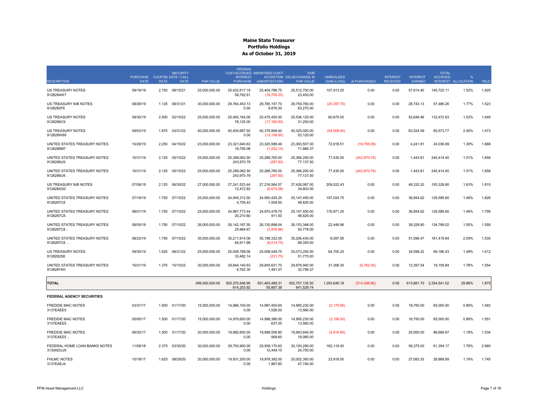|                                            |                                |             | <b>MATURITY</b>                          |                  | <b>ORIGINAL</b>                    | COST/ACCRUED AMORTIZED COST/  | <b>FAIR</b>                                           |                                         |               |                                    |                           | <b>TOTAL</b>            |                     |       |
|--------------------------------------------|--------------------------------|-------------|------------------------------------------|------------------|------------------------------------|-------------------------------|-------------------------------------------------------|-----------------------------------------|---------------|------------------------------------|---------------------------|-------------------------|---------------------|-------|
| <b>DESCRIPTION</b>                         | <b>PURCHASE</b><br><b>DATE</b> | <b>RATE</b> | <b>COUPON DATE / CALL</b><br><b>DATE</b> | <b>PAR VALUE</b> | <b>INTEREST</b><br><b>PURCHASE</b> | (AMORTIZATION)                | <b>ACCRETION VALUE/CHANGE IN</b><br><b>FAIR VALUE</b> | <b>UNREALIZED</b><br><b>GAIN (LOSS)</b> | AI PURCHASED  | <b>INTEREST</b><br><b>RECEIVED</b> | <b>INTEREST</b><br>EARNED | <b>ACCRUED</b>          | INTEREST ALLOCATION | YIELD |
| <b>US TREASURY NOTES</b><br>9128284W7      | 09/16/19                       | 2.750       | 08/15/21                                 | 25,000,000.00    | 25.432.617.19<br>59,782.61         | 25,404,786.75<br>(18,755.25)  | 25,512,700.00<br>23,450.00                            | 107,913.25                              | 0.00          | 0.00                               | 57.914.40                 | 145,720.11              | 1.52%               | 1.825 |
| US TREASURY N/B NOTES<br>9128282F6         | 08/28/19                       | 1.125       | 08/31/21                                 | 30,000,000.00    | 29,764,453.13<br>0.00              | 29,785,157.70<br>9,876.30     | 29,759,760.00<br>63,270.00                            | (25, 397.70)                            | 0.00          | 0.00                               | 28,743.13                 | 57,486.26               | 1.77%               | 1.523 |
| US TREASURY NOTES<br>9128286C9             | 09/30/19                       | 2.500       | 02/15/22                                 | 25,000,000.00    | 25.493.164.06<br>78,125.00         | 25,475,450.00<br>(17, 160.50) | 25.536.125.00<br>31,250.00                            | 60,675.00                               | 0.00          | 0.00                               | 52.649.46                 | 132.472.83              | 1.52%               | 1.649 |
| US TREASURY NOTES<br>912828W89             | 09/03/19                       | 1.875       | 03/31/22                                 | 40,000,000.00    | 40,404,687.50<br>0.00              | 40,379,908.40<br>(13, 136.00) | 40,325,000.00<br>53,120.00                            | (54,908.40)                             | 0.00          | 0.00                               | 63,524.59                 | 65,573.77               | 2.40%               | 1.473 |
| UNITED STATES TREASURY NOTES<br>9128286M7  | 10/29/19                       |             | 2.250 04/15/22                           | 23.000.000.00    | 23.321.640.63<br>19,795.08         | 23.320.588.49<br>(1,052.14)   | 23.393.507.00<br>71,866.37                            | 72,918.51                               | (19,795.08)   | 0.00                               | 4,241.81                  | 24,036.89               | 1.39%               | 1.668 |
| UNITED STATES TREASURY NOTES<br>9128286U9  | 10/31/19                       | 2.125       | 05/15/22                                 | 25,000,000.00    | 25,289,062.50<br>243,970.79        | 25,288,765.00<br>(297.50)     | 25,366,200.00<br>77,137.50                            | 77,435.00                               | (243, 970.79) | 0.00                               | 1,443.61                  | 245,414.40              | 1.51%               | 1.658 |
| UNITED STATES TREASURY NOTES<br>9128286U9. | 10/31/19                       | 2.125       | 05/15/22                                 | 25,000,000.00    | 25.289.062.50<br>243,970.79        | 25,288,765.00<br>(297.50)     | 25.366.200.00<br>77,137.50                            | 77,435.00                               | (243, 970.79) | 0.00                               | 1,443.61                  | 245,414.40              | 1.51%               | 1.658 |
| US TREASURY N/B NOTES<br>912828XG0         | 07/08/19                       | 2.125       | 06/30/22                                 | 27,000,000.00    | 27,241,523.44<br>12,472.83         | 27,216,564.57<br>(6,670.08)   | 27,426,087.00<br>34,803.00                            | 209,522.43                              | 0.00          | 0.00                               | 48,332.20                 | 193,328.80              | 1.63%               | 1.815 |
| UNITED STATES TREASURY NOTES<br>9128287C8  | 07/19/19                       | 1.750       | 07/15/22                                 | 25,000,000.00    | 24,945,312.50<br>4,755.43          | 24,950,425.25<br>1,509.50     | 25,147,450.00<br>48,825.00                            | 197,024.75                              | 0.00          | 0.00                               | 36,854.62                 | 129,585.60              | 1.49%               | 1.826 |
| UNITED STATES TREASURY NOTES<br>9128287C8  | 08/01/19                       | 1.750       | 07/15/22                                 | 25,000,000.00    | 24,967,773.44<br>20.210.60         | 24,970,478.75<br>911.50       | 25,147,450.00<br>48,825.00                            | 176,971.25                              | 0.00          | 0.00                               | 36,854.62                 | 129,585.60              | 1.49%               | 1.795 |
| UNITED STATES TREASURY NOTES<br>9128287C8  | 08/05/19                       | 1.750       | 07/15/22                                 | 26,000,000.00    | 26, 142, 187.50<br>25,964.67       | 26,130,898.04<br>(3,976.96)   | 26, 153, 348.00<br>50,778.00                          | 22,449.96                               | 0.00          | 0.00                               | 38,328.80                 | 134,769.02              | 1.55%               | 1.559 |
| UNITED STATES TREASURY NOTES<br>9128287C8  | 08/23/19                       |             | 1.750 07/15/22                           | 35,000,000.00    | 35,211,914.06<br>64,911.68         | 35, 198, 332.05<br>(6,014.75) | 35,206,430.00<br>68,355.00                            | 8,097.95                                | 0.00          | 0.00                               | 51,596.47                 | 181,419.84              | 2.09%               | 1.535 |
| US TREASURY NOTES<br>9128282S8             | 09/30/19                       | 1.625       | 08/31/22                                 | 25,000,000.00    | 25,008,789.06<br>33,482.14         | 25.008.549.75<br>(231.75)     | 25,073,250.00<br>51,775.00                            | 64,700.25                               | 0.00          | 0.00                               | 34,598.22                 | 69,196.43               | 1.49%               | 1.612 |
| UNITED STATES TREASURY NOTES<br>912828YK0  | 10/21/19                       | 1.375       | 10/15/22                                 | 30,000,000.00    | 29.844.140.63<br>6,762.30          | 29.845.631.70<br>1,491.07     | 29.876.940.00<br>32,799.37                            | 31,308.30                               | (6,762.30)    | 0.00                               | 12.397.54                 | 19.159.84               | 1.78%               | 1.554 |
| <b>TOTAL</b>                               |                                |             |                                          | 499,500,000.00   | 500,370,546.90<br>814,203.92       | 501,463,489.31<br>55,887.38   | 502,757,135.50<br>841,529.74                          | 1,293,646.19                            | (514, 498.96) | 0.00                               |                           | 613,881.70 2,354,541.02 | 29.88%              | 1.875 |
| <b>FEDERAL AGENCY SECURITIES</b>           |                                |             |                                          |                  |                                    |                               |                                                       |                                         |               |                                    |                           |                         |                     |       |
| <b>FREDDIE MAC NOTES</b><br>3137EAEE5      | 03/31/17                       | 1.500       | 01/17/20                                 | 15,000,000.00    | 14,966,100.00<br>0.00              | 14,997,400.65<br>1,026.00     | 14,995,230.00<br>13,560.00                            | (2, 170.65)                             | 0.00          | 0.00                               | 18,750.00                 | 65,000.00               | 0.89%               | 1.583 |
| FREDDIE MAC NOTES<br>3137EAEE5             | 05/05/17                       | 1.500       | 01/17/20                                 | 15,000,000.00    | 14,979,600.00<br>0.00              | 14,998,386.00<br>637.05       | 14,995,230.00<br>13,560.00                            | (3, 156.00)                             | 0.00          | 0.00                               | 18,750.00                 | 65,000.00               | 0.89%               | 1.551 |
| FREDDIE MAC NOTES<br>3137EAEE5.            | 06/20/17                       |             | 1.500 01/17/20                           | 20,000,000.00    | 19,982,600.00<br>0.00              | 19,998,556.80<br>569.60       | 19,993,640.00<br>18,080.00                            | (4,916.80)                              | 0.00          | 0.00                               | 25,000.00                 | 86,666.67               | 1.19%               | 1.534 |
| FEDERAL HOME LOAN BANKS NOTES<br>3130ADUJ9 | 11/08/18                       | 2.375       | 03/30/20                                 | 30,000,000.00    | 29.793.900.00<br>0.00              | 29,938,170.60<br>12,449.10    | 30,100,290.00<br>24,750.00                            | 162,119.40                              | 0.00          | 0.00                               | 59,375.00                 | 61,354.17               | 1.79%               | 2.880 |
| <b>FHLMC NOTES</b><br>3137EAEJ4            | 10/18/17                       | 1.625       | 09/29/20                                 | 20,000,000.00    | 19,931,200.00<br>0.00              | 19,978,382.00<br>1,967.80     | 20,002,300.00<br>47,740.00                            | 23,918.00                               | 0.00          | 0.00                               | 27,083.33                 | 28,888.89               | 1.19%               | 1.745 |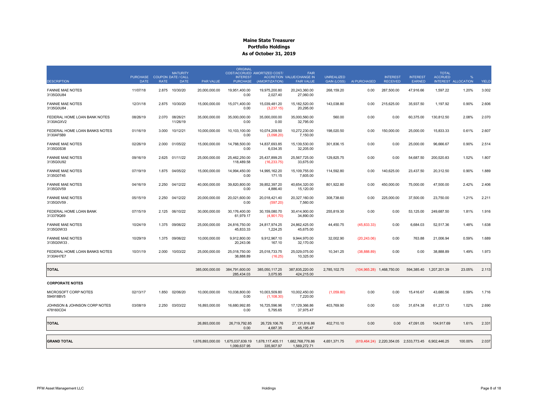|                                            |                                            |             | <b>MATURITY</b>            |                  | <b>ORIGINAL</b>                    | COST/ACCRUED AMORTIZED COST/                                                         | <b>FAIR</b>                                           |                                         |               |                                    |                                                     | <b>TOTAL</b>            |                                       |              |
|--------------------------------------------|--------------------------------------------|-------------|----------------------------|------------------|------------------------------------|--------------------------------------------------------------------------------------|-------------------------------------------------------|-----------------------------------------|---------------|------------------------------------|-----------------------------------------------------|-------------------------|---------------------------------------|--------------|
| <b>DESCRIPTION</b>                         | PURCHASE COUPON DATE / CALL<br><b>DATE</b> | <b>RATE</b> | <b>DATE</b>                | <b>PAR VALUE</b> | <b>INTEREST</b><br><b>PURCHASE</b> | (AMORTIZATION)                                                                       | <b>ACCRETION VALUE/CHANGE IN</b><br><b>FAIR VALUE</b> | <b>UNREALIZED</b><br><b>GAIN (LOSS)</b> | AI PURCHASED  | <b>INTEREST</b><br><b>RECEIVED</b> | <b>INTEREST</b><br>EARNED                           | <b>ACCRUED</b>          | $\mathbf{Q}_c$<br>INTEREST ALLOCATION | <b>YIELD</b> |
| <b>FANNIE MAE NOTES</b><br>3135G0U84       | 11/07/18                                   | 2.875       | 10/30/20                   | 20,000,000.00    | 19,951,400.00<br>0.00              | 19,975,200.80<br>2,027.40                                                            | 20,243,360.00<br>27,060.00                            | 268,159.20                              | 0.00          | 287,500.00                         | 47,916.66                                           | 1,597.22                | 1.20%                                 | 3.002        |
| <b>FANNIE MAE NOTES</b><br>3135G0U84       | 12/31/18                                   | 2.875       | 10/30/20                   | 15.000.000.00    | 15.071.400.00<br>0.00              | 15.039.481.20<br>(3,237.15)                                                          | 15.182.520.00<br>20,295.00                            | 143.038.80                              | 0.00          | 215.625.00                         | 35.937.50                                           | 1.197.92                | 0.90%                                 | 2.606        |
| FEDERAL HOME LOAN BANK NOTES<br>3130AGXV2  | 08/26/19                                   |             | 2.070 08/26/21<br>11/26/19 | 35,000,000.00    | 35,000,000.00<br>0.00              | 35,000,000.00<br>0.00                                                                | 35,000,560.00<br>32,795.00                            | 560.00                                  | 0.00          | 0.00                               | 60,375.00                                           | 130,812.50              | 2.08%                                 | 2.070        |
| FEDERAL HOME LOAN BANKS NOTES<br>3130AF5B9 | 01/16/19                                   | 3.000       | 10/12/21                   | 10,000,000.00    | 10,103,100.00<br>0.00              | 10,074,209.50<br>(3,098.20)                                                          | 10,272,230.00<br>7,150.00                             | 198,020.50                              | 0.00          | 150,000.00                         | 25,000.00                                           | 15,833.33               | 0.61%                                 | 2.607        |
| <b>FANNIE MAE NOTES</b><br>3135G0S38       | 02/26/19                                   | 2.000       | 01/05/22                   | 15,000,000.00    | 14,788,500.00<br>0.00              | 14,837,693.85<br>6,034.35                                                            | 15,139,530.00<br>32,205.00                            | 301,836.15                              | 0.00          | 0.00                               | 25,000.00                                           | 96,666.67               | 0.90%                                 | 2.514        |
| <b>FANNIE MAE NOTES</b><br>3135G0U92       | 09/16/19                                   | 2.625       | 01/11/22                   | 25,000,000.00    | 25,462,250.00<br>118,489.58        | 25,437,899.25<br>(16, 233.75)                                                        | 25,567,725.00<br>33,675.00                            | 129,825.75                              | 0.00          | 0.00                               | 54,687.50                                           | 200,520.83              | 1.52%                                 | 1.807        |
| <b>FANNIE MAE NOTES</b><br>3135G0T45       | 07/19/19                                   | 1.875       | 04/05/22                   | 15,000,000.00    | 14,994,450.00<br>0.00              | 14,995,162.20<br>171.15                                                              | 15,109,755.00<br>7,605.00                             | 114,592.80                              | 0.00          | 140,625.00                         | 23,437.50                                           | 20,312.50               | 0.90%                                 | 1.889        |
| <b>FANNIE MAE NOTES</b><br>3135G0V59       | 04/16/19                                   | 2.250       | 04/12/22                   | 40,000,000.00    | 39,820,800.00<br>0.00              | 39,852,397.20<br>4,886.40                                                            | 40,654,320.00<br>15,120.00                            | 801,922.80                              | 0.00          | 450,000.00                         | 75,000.00                                           | 47,500.00               | 2.42%                                 | 2.406        |
| <b>FANNIE MAE NOTES</b><br>3135G0V59       | 05/15/19                                   | 2.250       | 04/12/22                   | 20,000,000.00    | 20.021.600.00<br>0.00              | 20,018,421.40<br>(597.20)                                                            | 20,327,160.00<br>7,560.00                             | 308,738.60                              | 0.00          | 225.000.00                         | 37,500.00                                           | 23,750.00               | 1.21%                                 | 2.211        |
| FEDERAL HOME LOAN BANK<br>313379Q69        | 07/15/19                                   | 2.125       | 06/10/22                   | 30,000,000.00    | 30,176,400.00<br>61,979.17         | 30,159,080.70<br>(4,901.70)                                                          | 30,414,900.00<br>34,890.00                            | 255,819.30                              | 0.00          | 0.00                               | 53,125.00                                           | 249,687.50              | 1.81%                                 | 1.916        |
| <b>FANNIE MAE NOTES</b><br>3135G0W33       | 10/24/19                                   | 1.375       | 09/06/22                   | 25,000,000.00    | 24,816,750.00<br>45,833.33         | 24,817,974.25<br>1,224.25                                                            | 24,862,425.00<br>45,675.00                            | 44,450.75                               | (45, 833, 33) | 0.00                               | 6,684.03                                            | 52,517.36               | 1.48%                                 | 1.638        |
| <b>FANNIE MAE NOTES</b><br>3135G0W33       | 10/29/19                                   | 1.375       | 09/06/22                   | 10,000,000.00    | 9,912,800.00<br>20,243.06          | 9,912,967.10<br>167.10                                                               | 9,944,970.00<br>32,170.00                             | 32,002.90                               | (20, 243.06)  | 0.00                               | 763.88                                              | 21,006.94               | 0.59%                                 | 1.689        |
| FEDERAL HOME LOAN BANKS NOTES<br>3130AH7E7 | 10/31/19                                   | 2.000       | 10/03/22                   | 25,000,000.00    | 25,018,750.00<br>38,888.89         | 25,018,733.75<br>(16.25)                                                             | 25,029,075.00<br>10,325.00                            | 10,341.25                               | (38,888.89)   | 0.00                               | 0.00                                                | 38,888.89               | 1.49%                                 | 1.973        |
| <b>TOTAL</b>                               |                                            |             |                            | 385,000,000.00   | 384,791,600.00<br>285,434.03       | 385,050,117.25<br>3,075.95                                                           | 387,835,220.00<br>424,215.00                          | 2,785,102.75                            |               | $(104,965.28)$ 1,468,750.00        |                                                     | 594,385.40 1,207,201.39 | 23.05%                                | 2.113        |
| <b>CORPORATE NOTES</b>                     |                                            |             |                            |                  |                                    |                                                                                      |                                                       |                                         |               |                                    |                                                     |                         |                                       |              |
| MICROSOFT CORP NOTES<br>594918BV5          | 02/13/17                                   | 1.850       | 02/06/20                   | 10,000,000.00    | 10,038,800.00<br>0.00              | 10,003,509.80<br>(1, 108.30)                                                         | 10,002,450.00<br>7,220.00                             | (1,059.80)                              | 0.00          | 0.00                               | 15,416.67                                           | 43,680.56               | 0.59%                                 | 1.716        |
| JOHNSON & JOHNSON CORP NOTES<br>478160CD4  | 03/08/19                                   | 2.250       | 03/03/22                   | 16,893,000.00    | 16,680,992.85<br>0.00              | 16,725,596.96<br>5,795.65                                                            | 17,129,366.86<br>37,975.47                            | 403,769.90                              | 0.00          | 0.00                               | 31,674.38                                           | 61,237.13               | 1.02%                                 | 2.690        |
| <b>TOTAL</b>                               |                                            |             |                            | 26,893,000.00    | 26,719,792.85<br>0.00              | 26,729,106.76<br>4,687.35                                                            | 27, 131, 816.86<br>45, 195.47                         | 402,710.10                              | 0.00          | 0.00                               | 47,091.05                                           | 104,917.69              | 1.61%                                 | 2.331        |
| <b>GRAND TOTAL</b>                         |                                            |             |                            |                  | 1,099,637.95                       | 1,676,893,000,00  1,675,037,639,19  1,678,117,405,11  1,682,768,776,86<br>335,907.97 | 1,569,272.71                                          | 4.651.371.75                            |               |                                    | (619.464.24) 2.220.354.05 2.533.773.45 6.902.446.25 |                         | 100.00%                               | 2.037        |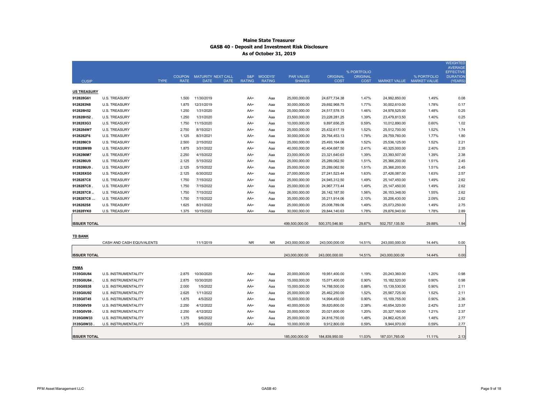|                     |                             |                            |                                                         |               |                              |                                    |                                |                         |                 |                                          | <b>WEIGHTED</b><br><b>AVERAGE</b> |
|---------------------|-----------------------------|----------------------------|---------------------------------------------------------|---------------|------------------------------|------------------------------------|--------------------------------|-------------------------|-----------------|------------------------------------------|-----------------------------------|
|                     |                             |                            |                                                         |               |                              |                                    |                                | % PORTFOLIO             |                 |                                          | <b>EFFECTIVE</b>                  |
| <b>CUSIP</b>        |                             | <b>TYPE</b><br><b>RATE</b> | COUPON MATURITY NEXT CALL<br><b>DATE</b><br><b>DATE</b> | <b>RATING</b> | S&P MOODYS'<br><b>RATING</b> | <b>PAR VALUE/</b><br><b>SHARES</b> | <b>ORIGINAL</b><br><b>COST</b> | ORIGINAL<br><b>COST</b> |                 | % PORTFOLIO<br>MARKET VALUE MARKET VALUE | <b>DURATION</b><br>(YEARS)        |
|                     |                             |                            |                                                         |               |                              |                                    |                                |                         |                 |                                          |                                   |
| <b>US TREASURY</b>  |                             |                            |                                                         |               |                              |                                    |                                |                         |                 |                                          |                                   |
| 912828G61           | <b>U.S. TREASURY</b>        | 1.500                      | 11/30/2019                                              | AA+           | Aaa                          | 25,000,000.00                      | 24,677,734.38                  | 1.47%                   | 24,992,850.00   | 1.49%                                    | 0.08                              |
| 9128283N8           | <b>U.S. TREASURY</b>        | 1.875                      | 12/31/2019                                              | AA+           | Aaa                          | 30,000,000.00                      | 29,692,968.75                  | 1.77%                   | 30,002,610.00   | 1.78%                                    | 0.17                              |
| 912828H52           | <b>U.S. TREASURY</b>        | 1.250                      | 1/31/2020                                               | AA+           | Aaa                          | 25,000,000.00                      | 24,517,578.13                  | 1.46%                   | 24,978,525.00   | 1.48%                                    | 0.25                              |
| 912828H52           | <b>U.S. TREASURY</b>        | 1.250                      | 1/31/2020                                               | AA+           | Aaa                          | 23,500,000.00                      | 23,228,281.25                  | 1.39%                   | 23,479,813.50   | 1.40%                                    | 0.25                              |
| 9128283G3           | <b>U.S. TREASURY</b>        | 1.750                      | 11/15/2020                                              | AA+           | Aaa                          | 10,000,000.00                      | 9,897,656.25                   | 0.59%                   | 10,012,890.00   | 0.60%                                    | 1.02                              |
| 9128284W7           | <b>U.S. TREASURY</b>        | 2.750                      | 8/15/2021                                               | AA+           | Aaa                          | 25,000,000.00                      | 25,432,617.19                  | 1.52%                   | 25,512,700.00   | 1.52%                                    | 1.74                              |
| 9128282F6           | <b>U.S. TREASURY</b>        | 1.125                      | 8/31/2021                                               | AA+           | Aaa                          | 30,000,000.00                      | 29,764,453.13                  | 1.78%                   | 29,759,760.00   | 1.77%                                    | 1.80                              |
| 9128286C9           | <b>U.S. TREASURY</b>        | 2.500                      | 2/15/2022                                               | AA+           | Aaa                          | 25,000,000.00                      | 25,493,164.06                  | 1.52%                   | 25,536,125.00   | 1.52%                                    | 2.21                              |
| 912828W89           | <b>U.S. TREASURY</b>        | 1.875                      | 3/31/2022                                               | AA+           | Aaa                          | 40,000,000.00                      | 40,404,687.50                  | 2.41%                   | 40,325,000.00   | 2.40%                                    | 2.35                              |
| 9128286M7           | <b>U.S. TREASURY</b>        | 2.250                      | 4/15/2022                                               | AA+           | Aaa                          | 23,000,000.00                      | 23,321,640.63                  | 1.39%                   | 23,393,507.00   | 1.39%                                    | 2.38                              |
| 9128286U9           | <b>U.S. TREASURY</b>        | 2.125                      | 5/15/2022                                               | AA+           | Aaa                          | 25,000,000.00                      | 25,289,062.50                  | 1.51%                   | 25,366,200.00   | 1.51%                                    | 2.45                              |
| 9128286U9           | <b>U.S. TREASURY</b>        | 2.125                      | 5/15/2022                                               | AA+           | Aaa                          | 25,000,000.00                      | 25,289,062.50                  | 1.51%                   | 25,366,200.00   | 1.51%                                    | 2.45                              |
| 912828XG0           | <b>U.S. TREASURY</b>        | 2.125                      | 6/30/2022                                               | AA+           | Aaa                          | 27,000,000.00                      | 27,241,523.44                  | 1.63%                   | 27,426,087.00   | 1.63%                                    | 2.57                              |
| 9128287C8           | <b>U.S. TREASURY</b>        | 1.750                      | 7/15/2022                                               | AA+           | Aaa                          | 25,000,000.00                      | 24,945,312.50                  | 1.49%                   | 25, 147, 450.00 | 1.49%                                    | 2.62                              |
| 9128287C8           | <b>U.S. TREASURY</b>        | 1.750                      | 7/15/2022                                               | AA+           | Aaa                          | 25,000,000.00                      | 24,967,773.44                  | 1.49%                   | 25, 147, 450.00 | 1.49%                                    | 2.62                              |
| 9128287C8           | <b>U.S. TREASURY</b>        | 1.750                      | 7/15/2022                                               | AA+           | Aaa                          | 26,000,000.00                      | 26, 142, 187.50                | 1.56%                   | 26, 153, 348.00 | 1.55%                                    | 2.62                              |
| 9128287C8           | <b>U.S. TREASURY</b>        | 1.750                      | 7/15/2022                                               | AA+           | Aaa                          | 35,000,000.00                      | 35,211,914.06                  | 2.10%                   | 35,206,430.00   | 2.09%                                    | 2.62                              |
| 9128282S8           | <b>U.S. TREASURY</b>        | 1.625                      | 8/31/2022                                               | AA+           | Aaa                          | 25,000,000.00                      | 25,008,789.06                  | 1.49%                   | 25,073,250.00   | 1.49%                                    | 2.75                              |
| 912828YK0           | <b>U.S. TREASURY</b>        | 1.375                      | 10/15/2022                                              | AA+           | Aaa                          | 30,000,000.00                      | 29,844,140.63                  | 1.78%                   | 29,876,940.00   | 1.78%                                    | 2.89                              |
|                     |                             |                            |                                                         |               |                              |                                    |                                |                         |                 |                                          |                                   |
| <b>ISSUER TOTAL</b> |                             |                            |                                                         |               |                              | 499,500,000.00                     | 500,370,546.90                 | 29.87%                  | 502,757,135.50  | 29.88%                                   | 1.94                              |
|                     |                             |                            |                                                         |               |                              |                                    |                                |                         |                 |                                          |                                   |
| <b>TD BANK</b>      |                             |                            |                                                         |               |                              |                                    |                                |                         |                 |                                          |                                   |
|                     | CASH AND CASH EQUIVALENTS   |                            | 11/1/2019                                               | <b>NR</b>     | <b>NR</b>                    | 243,000,000.00                     | 243,000,000.00                 | 14.51%                  | 243,000,000.00  | 14.44%                                   | 0.00                              |
|                     |                             |                            |                                                         |               |                              |                                    |                                |                         |                 |                                          |                                   |
| <b>ISSUER TOTAL</b> |                             |                            |                                                         |               |                              | 243,000,000.00                     | 243,000,000.00                 | 14.51%                  | 243,000,000.00  | 14.44%                                   | 0.00                              |
|                     |                             |                            |                                                         |               |                              |                                    |                                |                         |                 |                                          |                                   |
| <b>FNMA</b>         |                             |                            |                                                         |               |                              |                                    |                                |                         |                 |                                          |                                   |
| 3135G0U84           | U.S. INSTRUMENTALITY        | 2.875                      | 10/30/2020                                              | AA+           | Aaa                          | 20,000,000.00                      | 19,951,400.00                  | 1.19%                   | 20,243,360.00   | 1.20%                                    | 0.98                              |
| 3135G0U84           | U.S. INSTRUMENTALITY        | 2.875                      | 10/30/2020                                              | AA+           | Aaa                          | 15,000,000.00                      | 15,071,400.00                  | 0.90%                   | 15,182,520.00   | 0.90%                                    | 0.98                              |
| 3135G0S38           | U.S. INSTRUMENTALITY        | 2.000                      | 1/5/2022                                                | AA+           | Aaa                          | 15,000,000.00                      | 14,788,500.00                  | 0.88%                   | 15,139,530.00   | 0.90%                                    | 2.11                              |
| 3135G0U92           | U.S. INSTRUMENTALITY        | 2.625                      | 1/11/2022                                               | AA+           | Aaa                          | 25,000,000.00                      | 25,462,250.00                  | 1.52%                   | 25,567,725.00   | 1.52%                                    | 2.11                              |
| 3135G0T45           | U.S. INSTRUMENTALITY        | 1.875                      | 4/5/2022                                                | AA+           | Aaa                          | 15,000,000.00                      | 14,994,450.00                  | 0.90%                   | 15,109,755.00   | 0.90%                                    | 2.36                              |
| 3135G0V59           | U.S. INSTRUMENTALITY        | 2.250                      | 4/12/2022                                               | AA+           | Aaa                          | 40,000,000.00                      | 39,820,800.00                  | 2.38%                   | 40,654,320.00   | 2.42%                                    | 2.37                              |
| 3135G0V59           | U.S. INSTRUMENTALITY        | 2.250                      | 4/12/2022                                               | AA+           | Aaa                          | 20,000,000.00                      | 20,021,600.00                  | 1.20%                   | 20,327,160.00   | 1.21%                                    | 2.37                              |
| 3135G0W33           | <b>U.S. INSTRUMENTALITY</b> | 1.375                      | 9/6/2022                                                | AA+           | Aaa                          | 25,000,000.00                      | 24,816,750.00                  | 1.48%                   | 24,862,425.00   | 1.48%                                    | 2.77                              |
| 3135G0W33           | U.S. INSTRUMENTALITY        | 1.375                      | 9/6/2022                                                | AA+           | Aaa                          | 10,000,000.00                      | 9,912,800.00                   | 0.59%                   | 9,944,970.00    | 0.59%                                    | 2.77                              |
|                     |                             |                            |                                                         |               |                              |                                    |                                |                         |                 |                                          |                                   |
| <b>ISSUER TOTAL</b> |                             |                            |                                                         |               |                              | 185,000,000.00                     | 184,839,950.00                 | 11.03%                  | 187,031,765.00  | 11.11%                                   | 2.13                              |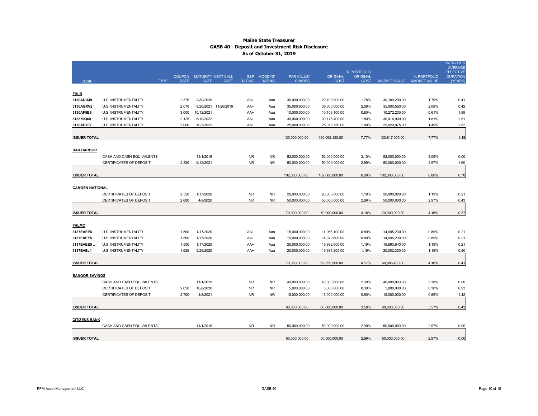|                         |                                                            | <b>COUPON</b>  | MATURITY NEXT CALL         |               | S&P MOODYS'    | PAR VALUE/                     | <b>ORIGINAL</b>                | % PORTFOLIO<br>ORIGINAL |                                | % PORTFOLIO               | <b>WEIGHTED</b><br><b>AVERAGE</b><br><b>EFFECTIVE</b><br><b>DURATION</b> |
|-------------------------|------------------------------------------------------------|----------------|----------------------------|---------------|----------------|--------------------------------|--------------------------------|-------------------------|--------------------------------|---------------------------|--------------------------------------------------------------------------|
| <b>CUSIP</b>            | <b>TYPE</b>                                                | <b>RATE</b>    | <b>DATE</b><br><b>DATE</b> | <b>RATING</b> | <b>RATING</b>  | <b>SHARES</b>                  | <b>COST</b>                    | <b>COST</b>             |                                | MARKET VALUE MARKET VALUE | (YEARS)                                                                  |
|                         |                                                            |                |                            |               |                |                                |                                |                         |                                |                           |                                                                          |
| <b>FHLB</b>             |                                                            |                |                            |               |                |                                |                                |                         |                                |                           |                                                                          |
| 3130ADUJ9               | U.S. INSTRUMENTALITY                                       | 2.375          | 3/30/2020                  | AA+           | Aaa            | 30,000,000.00                  | 29,793,900.00                  | 1.78%                   | 30,100,290.00                  | 1.79%                     | 0.41                                                                     |
| 3130AGXV2               | U.S. INSTRUMENTALITY                                       | 2.070          | 8/26/2021 11/26/2019       | AA+           | Aaa            | 35,000,000.00                  | 35,000,000.00                  | 2.09%                   | 35,000,560.00                  | 2.08%                     | 0.42                                                                     |
| 3130AF5B9               | U.S. INSTRUMENTALITY                                       | 3.000          | 10/12/2021                 | AA+           | Aaa            | 10,000,000.00                  | 10,103,100.00                  | 0.60%                   | 10,272,230.00                  | 0.61%                     | 1.89                                                                     |
| 313379Q69               | U.S. INSTRUMENTALITY                                       | 2.125          | 6/10/2022                  | AA+           | Aaa            | 30,000,000.00                  | 30,176,400.00                  | 1.80%                   | 30,414,900.00                  | 1.81%                     | 2.51                                                                     |
| 3130AH7E7               | U.S. INSTRUMENTALITY                                       | 2.000          | 10/3/2022                  | AA+           | Aaa            | 25,000,000.00                  | 25,018,750.00                  | 1.49%                   | 25,029,075.00                  | 1.49%                     | 2.82                                                                     |
| <b>ISSUER TOTAL</b>     |                                                            |                |                            |               |                | 130,000,000.00                 | 130,092,150.00                 | 7.77%                   | 130,817,055.00                 | 7.77%                     | 1.48                                                                     |
|                         |                                                            |                |                            |               |                |                                |                                |                         |                                |                           |                                                                          |
| <b>BAR HARBOR</b>       |                                                            |                |                            |               |                |                                |                                |                         |                                |                           |                                                                          |
|                         | CASH AND CASH EQUIVALENTS                                  |                | 11/1/2019                  | <b>NR</b>     | <b>NR</b>      | 52,000,000.00                  | 52,000,000.00                  | 3.10%                   | 52,000,000.00                  | 3.09%                     | 0.00                                                                     |
|                         | CERTIFICATES OF DEPOSIT                                    | 2.330          | 6/12/2021                  | NR.           | <b>NR</b>      | 50,000,000.00                  | 50,000,000.00                  | 2.99%                   | 50,000,000.00                  | 2.97%                     | 1.60                                                                     |
|                         |                                                            |                |                            |               |                |                                |                                |                         |                                |                           |                                                                          |
| <b>ISSUER TOTAL</b>     |                                                            |                |                            |               |                | 102,000,000.00                 | 102,000,000.00                 | 6.09%                   | 102,000,000.00                 | 6.06%                     | 0.78                                                                     |
|                         |                                                            |                |                            |               |                |                                |                                |                         |                                |                           |                                                                          |
| <b>CAMDEN NATIONAL</b>  |                                                            |                |                            |               |                |                                |                                |                         |                                |                           |                                                                          |
|                         | <b>CERTIFICATES OF DEPOSIT</b>                             | 2.550          | 1/17/2020                  | <b>NR</b>     | <b>NR</b>      | 20,000,000.00                  | 20,000,000.00                  | 1.19%                   | 20,000,000.00                  | 1.19%                     | 0.21                                                                     |
|                         | CERTIFICATES OF DEPOSIT                                    | 2.600          | 4/8/2020                   | <b>NR</b>     | <b>NR</b>      | 50,000,000.00                  | 50,000,000.00                  | 2.99%                   | 50,000,000.00                  | 2.97%                     | 0.43                                                                     |
|                         |                                                            |                |                            |               |                |                                |                                |                         |                                |                           |                                                                          |
| <b>ISSUER TOTAL</b>     |                                                            |                |                            |               |                | 70,000,000.00                  | 70,000,000.00                  | 4.18%                   | 70,000,000.00                  | 4.16%                     | 0.37                                                                     |
|                         |                                                            |                |                            |               |                |                                |                                |                         |                                |                           |                                                                          |
| <b>FHLMC</b>            |                                                            |                |                            |               |                |                                |                                |                         |                                |                           |                                                                          |
| 3137EAEE5               | U.S. INSTRUMENTALITY                                       | 1.500          | 1/17/2020                  | AA+           | Aaa            | 15,000,000.00                  | 14,966,100.00                  | 0.89%                   | 14,995,230.00                  | 0.89%                     | 0.21                                                                     |
| 3137EAEE5.<br>3137EAEE5 | <b>U.S. INSTRUMENTALITY</b><br><b>U.S. INSTRUMENTALITY</b> | 1.500<br>1.500 | 1/17/2020<br>1/17/2020     | AA+<br>AA+    | Aaa<br>Aaa     | 15,000,000.00<br>20,000,000.00 | 14,979,600.00<br>19,982,600.00 | 0.89%<br>1.19%          | 14,995,230.00<br>19,993,640.00 | 0.89%<br>1.19%            | 0.21<br>0.21                                                             |
| 3137EAEJ4               | U.S. INSTRUMENTALITY                                       | 1.625          | 9/29/2020                  | AA+           | Aaa            | 20,000,000.00                  | 19,931,200.00                  | 1.19%                   | 20,002,300.00                  | 1.19%                     | 0.90                                                                     |
|                         |                                                            |                |                            |               |                |                                |                                |                         |                                |                           |                                                                          |
| <b>ISSUER TOTAL</b>     |                                                            |                |                            |               |                | 70,000,000.00                  | 69,859,500.00                  | 4.17%                   | 69,986,400.00                  | 4.16%                     | 0.41                                                                     |
|                         |                                                            |                |                            |               |                |                                |                                |                         |                                |                           |                                                                          |
| <b>BANGOR SAVINGS</b>   |                                                            |                |                            |               |                |                                |                                |                         |                                |                           |                                                                          |
|                         | CASH AND CASH EQUIVALENTS                                  |                | 11/1/2019                  | NR.           | NR.            | 40,000,000.00                  | 40,000,000.00                  | 2.39%                   | 40,000,000.00                  | 2.38%                     | 0.00                                                                     |
|                         | CERTIFICATES OF DEPOSIT                                    | 2.650          | 10/8/2020                  | NR.           | <b>NR</b>      | 5,000,000.00                   | 5,000,000.00                   | 0.30%                   | 5,000,000.00                   | 0.30%                     | 0.93                                                                     |
|                         | CERTIFICATES OF DEPOSIT                                    | 2.700          | 4/8/2021                   | NR.           | <b>NR</b>      | 15,000,000.00                  | 15,000,000.00                  | 0.90%                   | 15,000,000.00                  | 0.89%                     | 1.42                                                                     |
|                         |                                                            |                |                            |               |                |                                |                                |                         |                                |                           |                                                                          |
| <b>ISSUER TOTAL</b>     |                                                            |                |                            |               |                | 60,000,000.00                  | 60,000,000.00                  | 3.58%                   | 60,000,000.00                  | 3.57%                     | 0.43                                                                     |
|                         |                                                            |                |                            |               |                |                                |                                |                         |                                |                           |                                                                          |
| <b>CITIZENS BANK</b>    |                                                            |                |                            |               |                |                                |                                |                         |                                |                           |                                                                          |
|                         | CASH AND CASH EQUIVALENTS                                  |                | 11/1/2019                  | NR.           | N <sub>R</sub> | 50,000,000.00                  | 50,000,000.00                  | 2.99%                   | 50,000,000.00                  | 2.97%                     | 0.00                                                                     |
|                         |                                                            |                |                            |               |                |                                |                                |                         |                                |                           |                                                                          |
| <b>ISSUER TOTAL</b>     |                                                            |                |                            |               |                | 50,000,000.00                  | 50,000,000.00                  | 2.99%                   | 50,000,000.00                  | 2.97%                     | 0.00                                                                     |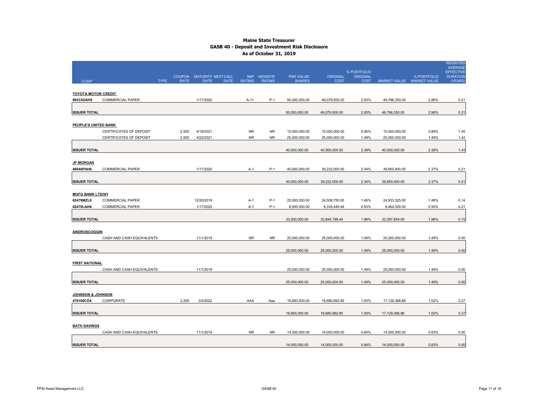|                            |                           |                            |                           |             |                  |               |               |                 |                                |               |                           | <b>WEIGHTED</b><br><b>AVERAGE</b>   |
|----------------------------|---------------------------|----------------------------|---------------------------|-------------|------------------|---------------|---------------|-----------------|--------------------------------|---------------|---------------------------|-------------------------------------|
|                            |                           |                            | COUPON MATURITY NEXT CALL |             |                  | S&P MOODYS'   | PAR VALUE/    | <b>ORIGINAL</b> | % PORTFOLIO<br><b>ORIGINAL</b> |               | % PORTFOLIO               | <b>EFFECTIVE</b><br><b>DURATION</b> |
| <b>CUSIP</b>               |                           | <b>TYPE</b><br><b>RATE</b> | <b>DATE</b>               | <b>DATE</b> | <b>RATING</b>    | <b>RATING</b> | <b>SHARES</b> | <b>COST</b>     | <b>COST</b>                    |               | MARKET VALUE MARKET VALUE | (YEARS)                             |
|                            |                           |                            |                           |             |                  |               |               |                 |                                |               |                           |                                     |
| <b>TOYOTA MOTOR CREDIT</b> |                           |                            |                           |             |                  |               |               |                 |                                |               |                           |                                     |
| 89233GAH9                  | <b>COMMERCIAL PAPER</b>   |                            | 1/17/2020                 |             | $A - 1 +$        | $P-1$         | 50,000,000.00 | 49,079,500.00   | 2.93%                          | 49,796,350.00 | 2.96%                     | 0.21                                |
|                            |                           |                            |                           |             |                  |               |               |                 |                                |               |                           |                                     |
| <b>ISSUER TOTAL</b>        |                           |                            |                           |             |                  |               | 50,000,000.00 | 49,079,500.00   | 2.93%                          | 49,796,350.00 | 2.96%                     | 0.21                                |
|                            |                           |                            |                           |             |                  |               |               |                 |                                |               |                           |                                     |
| PEOPLE'S UNITED BANK       |                           |                            |                           |             |                  |               |               |                 |                                |               |                           |                                     |
|                            | CERTIFICATES OF DEPOSIT   | 2.550                      | 4/18/2021                 |             | NR.<br><b>NR</b> | NR.           | 15,000,000.00 | 15,000,000.00   | 0.90%                          | 15,000,000.00 | 0.89%                     | 1.45                                |
|                            | CERTIFICATES OF DEPOSIT   | 2.550                      | 4/22/2021                 |             |                  | <b>NR</b>     | 25,000,000.00 | 25,000,000.00   | 1.49%                          | 25,000,000.00 | 1.49%                     | 1.42                                |
| <b>ISSUER TOTAL</b>        |                           |                            |                           |             |                  |               | 40,000,000.00 | 40,000,000.00   | 2.39%                          | 40,000,000.00 | 2.38%                     | 1.43                                |
|                            |                           |                            |                           |             |                  |               |               |                 |                                |               |                           |                                     |
| <b>JP MORGAN</b>           |                           |                            |                           |             |                  |               |               |                 |                                |               |                           |                                     |
| 46640PAH6                  | COMMERCIAL PAPER          |                            | 1/17/2020                 |             | A-1              | $P-1$         | 40,000,000.00 | 39,232,000.00   | 2.34%                          | 39,850,400.00 | 2.37%                     | 0.21                                |
|                            |                           |                            |                           |             |                  |               |               |                 |                                |               |                           |                                     |
| <b>ISSUER TOTAL</b>        |                           |                            |                           |             |                  |               | 40,000,000.00 | 39,232,000.00   | 2.34%                          | 39,850,400.00 | 2.37%                     | 0.21                                |
|                            |                           |                            |                           |             |                  |               |               |                 |                                |               |                           |                                     |
| <b>MUFG BANK LTD/NY</b>    |                           |                            |                           |             |                  |               |               |                 |                                |               |                           |                                     |
| 62479MZL0                  | <b>COMMERCIAL PAPER</b>   |                            | 12/20/2019                |             | A-1              | $P-1$         | 25,000,000.00 | 24,508,750.00   | 1.46%                          | 24,933,325.00 | 1.48%                     | 0.14                                |
| 62479LAH8                  | COMMERCIAL PAPER          |                            | 1/17/2020                 |             | A-1              | $P-1$         | 8,500,000.00  | 8,335,449.44    | 0.50%                          | 8,464,529.50  | 0.50%                     | 0.21                                |
|                            |                           |                            |                           |             |                  |               |               |                 |                                |               |                           |                                     |
| <b>ISSUER TOTAL</b>        |                           |                            |                           |             |                  |               | 33,500,000.00 | 32,844,199.44   | 1.96%                          | 33,397,854.50 | 1.98%                     | 0.15                                |
|                            |                           |                            |                           |             |                  |               |               |                 |                                |               |                           |                                     |
| ANDROSCOGGIN               |                           |                            |                           |             |                  |               |               |                 |                                |               |                           |                                     |
|                            | CASH AND CASH EQUIVALENTS |                            | 11/1/2019                 |             | <b>NR</b>        | NR.           | 25,000,000.00 | 25,000,000.00   | 1.49%                          | 25,000,000.00 | 1.49%                     | 0.00                                |
|                            |                           |                            |                           |             |                  |               |               |                 |                                |               |                           |                                     |
| <b>ISSUER TOTAL</b>        |                           |                            |                           |             |                  |               | 25,000,000.00 | 25,000,000.00   | 1.49%                          | 25,000,000.00 | 1.49%                     | 0.00                                |
|                            |                           |                            |                           |             |                  |               |               |                 |                                |               |                           |                                     |
| <b>FIRST NATIONAL</b>      |                           |                            | 11/1/2019                 |             |                  |               |               |                 | 1.49%                          |               |                           |                                     |
|                            | CASH AND CASH EQUIVALENTS |                            |                           |             |                  |               | 25,000,000.00 | 25,000,000.00   |                                | 25,000,000.00 | 1.49%                     | 0.00                                |
| <b>ISSUER TOTAL</b>        |                           |                            |                           |             |                  |               | 25,000,000.00 | 25,000,000.00   | 1.49%                          | 25,000,000.00 | 1.49%                     | 0.00                                |
|                            |                           |                            |                           |             |                  |               |               |                 |                                |               |                           |                                     |
| JOHNSON & JOHNSON          |                           |                            |                           |             |                  |               |               |                 |                                |               |                           |                                     |
| 478160CD4                  | CORPORATE                 | 2.250                      | 3/3/2022                  |             | AAA              | Aaa           | 16,893,000.00 | 16,680,992.85   | 1.00%                          | 17,129,366.86 | 1.02%                     | 2.27                                |
|                            |                           |                            |                           |             |                  |               |               |                 |                                |               |                           |                                     |
| <b>ISSUER TOTAL</b>        |                           |                            |                           |             |                  |               | 16,893,000.00 | 16,680,992.85   | 1.00%                          | 17,129,366.86 | 1.02%                     | 2.27                                |
|                            |                           |                            |                           |             |                  |               |               |                 |                                |               |                           |                                     |
| <b>BATH SAVINGS</b>        |                           |                            |                           |             |                  |               |               |                 |                                |               |                           |                                     |
|                            | CASH AND CASH EQUIVALENTS |                            | 11/1/2019                 |             | <b>NR</b>        | <b>NR</b>     | 14,000,000.00 | 14,000,000.00   | 0.84%                          | 14,000,000.00 | 0.83%                     | 0.00                                |
|                            |                           |                            |                           |             |                  |               |               |                 |                                |               |                           |                                     |
| <b>ISSUER TOTAL</b>        |                           |                            |                           |             |                  |               | 14,000,000.00 | 14,000,000.00   | 0.84%                          | 14,000,000.00 | 0.83%                     | 0.00                                |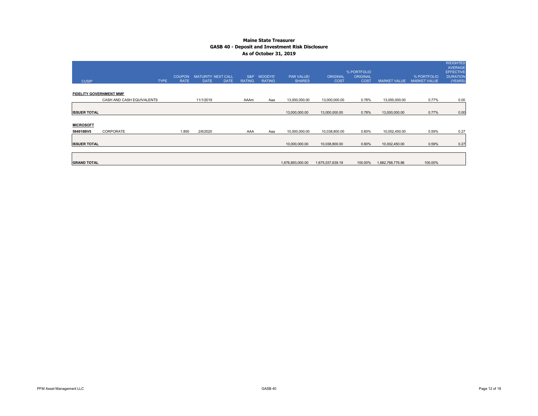|                                |                           |               |                    |             |               |                |                   |                  |                                |                     |                     | <b>WEIGHTED</b><br>AVERAGE          |
|--------------------------------|---------------------------|---------------|--------------------|-------------|---------------|----------------|-------------------|------------------|--------------------------------|---------------------|---------------------|-------------------------------------|
|                                |                           | <b>COUPON</b> | MATURITY NEXT CALL |             | S&P           | <b>MOODYS'</b> | <b>PAR VALUE/</b> | <b>ORIGINAL</b>  | % PORTFOLIO<br><b>ORIGINAL</b> |                     | % PORTFOLIO         | <b>EFFECTIVE</b><br><b>DURATION</b> |
| <b>CUSIP</b>                   | <b>TYPE</b>               | <b>RATE</b>   | <b>DATE</b>        | <b>DATE</b> | <b>RATING</b> | <b>RATING</b>  | <b>SHARES</b>     | <b>COST</b>      | <b>COST</b>                    | <b>MARKET VALUE</b> | <b>MARKET VALUE</b> | (YEARS)                             |
| <b>FIDELITY GOVERNMENT MMF</b> |                           |               |                    |             |               |                |                   |                  |                                |                     |                     |                                     |
|                                | CASH AND CASH EQUIVALENTS |               | 11/1/2019          |             | AAAm          | Aaa            | 13,000,000.00     | 13,000,000.00    | 0.78%                          | 13,000,000.00       | 0.77%               | 0.00                                |
| <b>ISSUER TOTAL</b>            |                           |               |                    |             |               |                | 13,000,000.00     | 13,000,000.00    | 0.78%                          | 13,000,000.00       | 0.77%               | 0.00                                |
| <b>MICROSOFT</b>               |                           |               |                    |             |               |                |                   |                  |                                |                     |                     |                                     |
| 594918BV5                      | CORPORATE                 | 1.850         | 2/6/2020           |             | AAA           | Aaa            | 10,000,000.00     | 10,038,800.00    | 0.60%                          | 10,002,450.00       | 0.59%               | 0.27                                |
| <b>ISSUER TOTAL</b>            |                           |               |                    |             |               |                | 10,000,000.00     | 10,038,800.00    | 0.60%                          | 10,002,450.00       | 0.59%               | 0.27                                |
|                                |                           |               |                    |             |               |                |                   |                  |                                |                     |                     |                                     |
| <b>GRAND TOTAL</b>             |                           |               |                    |             |               |                | 1,676,893,000.00  | 1,675,037,639.19 | 100.00%                        | 1,682,768,776.86    | 100.00%             |                                     |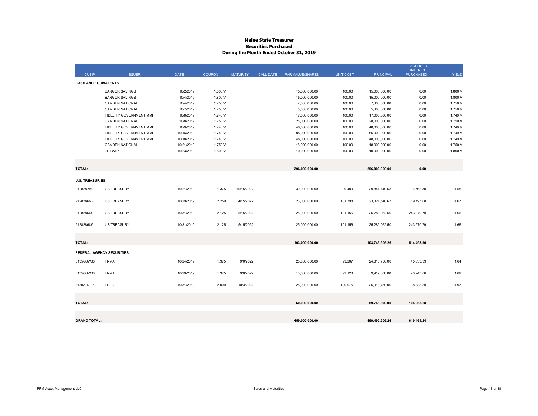#### **Maine State Treasurer Securities Purchased During the Month Ended October 31, 2019**

|                             |                                  |             |               |                 |                  |                  |                  |                  | <b>ACCRUED</b><br><b>INTEREST</b> |              |
|-----------------------------|----------------------------------|-------------|---------------|-----------------|------------------|------------------|------------------|------------------|-----------------------------------|--------------|
| <b>CUSIP</b>                | <b>ISSUER</b>                    | <b>DATE</b> | <b>COUPON</b> | <b>MATURITY</b> | <b>CALL DATE</b> | PAR VALUE/SHARES | <b>UNIT COST</b> | <b>PRINCIPAL</b> | <b>PURCHASED</b>                  | <b>YIELD</b> |
| <b>CASH AND EQUIVALENTS</b> |                                  |             |               |                 |                  |                  |                  |                  |                                   |              |
|                             | <b>BANGOR SAVINGS</b>            | 10/2/2019   | 1.800 V       |                 |                  | 15,000,000.00    | 100.00           | 15,000,000.00    | 0.00                              | 1.800 V      |
|                             | <b>BANGOR SAVINGS</b>            | 10/4/2019   | 1.800 V       |                 |                  | 15,000,000.00    | 100.00           | 15,000,000.00    | 0.00                              | 1.800 V      |
|                             | <b>CAMDEN NATIONAL</b>           | 10/4/2019   | 1.750 V       |                 |                  | 7,000,000.00     | 100.00           | 7,000,000.00     | 0.00                              | 1.750 V      |
|                             | <b>CAMDEN NATIONAL</b>           | 10/7/2019   | 1.750 V       |                 |                  | 5,000,000.00     | 100.00           | 5,000,000.00     | 0.00                              | 1.750 V      |
|                             | FIDELITY GOVERNMENT MMF          | 10/8/2019   | 1.740 V       |                 |                  | 17,000,000.00    | 100.00           | 17,000,000.00    | 0.00                              | 1.740 V      |
|                             | <b>CAMDEN NATIONAL</b>           | 10/8/2019   | 1.750 V       |                 |                  | 28,000,000.00    | 100.00           | 28,000,000.00    | 0.00                              | 1.750 V      |
|                             | FIDELITY GOVERNMENT MMF          | 10/9/2019   | 1.740 V       |                 |                  | 48,000,000.00    | 100.00           | 48,000,000.00    | 0.00                              | 1.740 V      |
|                             | FIDELITY GOVERNMENT MMF          | 10/16/2019  | 1.740 V       |                 |                  | 85,000,000.00    | 100.00           | 85,000,000.00    | 0.00                              | 1.740 V      |
|                             | FIDELITY GOVERNMENT MMF          | 10/18/2019  | 1.740 V       |                 |                  | 48,000,000.00    | 100.00           | 48,000,000.00    | 0.00                              | 1.740 V      |
|                             | <b>CAMDEN NATIONAL</b>           | 10/21/2019  | 1.750 V       |                 |                  | 18,000,000.00    | 100.00           | 18,000,000.00    | 0.00                              | 1.750 V      |
|                             | <b>TD BANK</b>                   | 10/23/2019  | 1.800 V       |                 |                  | 10,000,000.00    | 100.00           | 10,000,000.00    | 0.00                              | 1.800 V      |
|                             |                                  |             |               |                 |                  |                  |                  |                  |                                   |              |
| <b>TOTAL:</b>               |                                  |             |               |                 |                  | 296,000,000.00   |                  | 296,000,000.00   | 0.00                              |              |
| <b>U.S. TREASURIES</b>      |                                  |             |               |                 |                  |                  |                  |                  |                                   |              |
|                             |                                  |             |               |                 |                  |                  |                  |                  |                                   |              |
| 912828YK0                   | <b>US TREASURY</b>               | 10/21/2019  | 1.375         | 10/15/2022      |                  | 30,000,000.00    | 99.480           | 29,844,140.63    | 6,762.30                          | 1.55         |
| 9128286M7                   | <b>US TREASURY</b>               | 10/29/2019  | 2.250         | 4/15/2022       |                  | 23,000,000.00    | 101.398          | 23,321,640.63    | 19,795.08                         | 1.67         |
| 9128286U9                   | <b>US TREASURY</b>               | 10/31/2019  | 2.125         | 5/15/2022       |                  | 25,000,000.00    | 101.156          | 25,289,062.50    | 243,970.79                        | 1.66         |
| 9128286U9                   | <b>US TREASURY</b>               | 10/31/2019  | 2.125         | 5/15/2022       |                  | 25,000,000.00    | 101.156          | 25,289,062.50    | 243,970.79                        | 1.66         |
|                             |                                  |             |               |                 |                  |                  |                  |                  |                                   |              |
| <b>TOTAL:</b>               |                                  |             |               |                 |                  | 103,000,000.00   |                  | 103,743,906.26   | 514,498.96                        |              |
|                             |                                  |             |               |                 |                  |                  |                  |                  |                                   |              |
|                             | <b>FEDERAL AGENCY SECURITIES</b> |             |               |                 |                  |                  |                  |                  |                                   |              |
| 3135G0W33                   | <b>FNMA</b>                      | 10/24/2019  | 1.375         | 9/6/2022        |                  | 25,000,000.00    | 99.267           | 24,816,750.00    | 45,833.33                         | 1.64         |
| 3135G0W33                   | <b>FNMA</b>                      | 10/29/2019  | 1.375         | 9/6/2022        |                  | 10,000,000.00    | 99.128           | 9,912,800.00     | 20,243.06                         | 1.69         |
| 3130AH7E7                   | <b>FHLB</b>                      | 10/31/2019  | 2.000         | 10/3/2022       |                  | 25,000,000.00    | 100.075          | 25,018,750.00    | 38,888.89                         | 1.97         |
|                             |                                  |             |               |                 |                  |                  |                  |                  |                                   |              |
| <b>TOTAL:</b>               |                                  |             |               |                 |                  | 60,000,000.00    |                  | 59,748,300.00    | 104,965.28                        |              |
|                             |                                  |             |               |                 |                  |                  |                  |                  |                                   |              |
| <b>GRAND TOTAL:</b>         |                                  |             |               |                 |                  | 459.000.000.00   |                  | 459,492,206.26   | 619,464.24                        |              |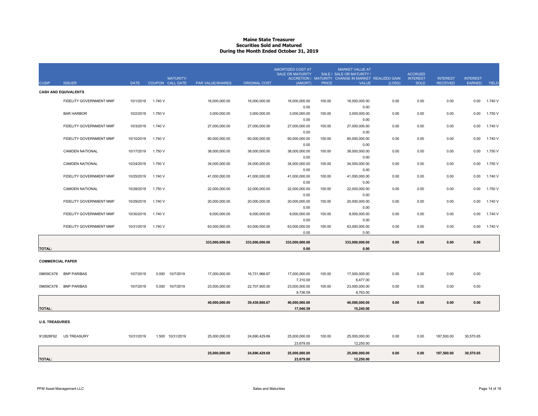#### **Maine State Treasurer Securities Sold and MaturedDuring the Month Ended October 31, 2019**

| <b>CUSIP</b>            | <b>ISSUER</b>               | <b>DATE</b> | <b>MATURITY/</b><br>COUPON CALL DATE | PAR VALUE/SHARES | <b>ORIGINAL COST</b> | <b>AMORTIZED COST AT</b><br><b>SALE OR MATURITY</b><br>(AMORT) | <b>PRICE</b> | <b>MARKET VALUE AT</b><br>SALE / SALE OR MATURITY /<br>ACCRETION / MATURITY CHANGE IN MARKET REALIZED GAIN<br><b>VALUE</b> | (LOSS) | <b>ACCRUED</b><br><b>INTEREST</b><br><b>SOLD</b> | <b>INTEREST</b><br><b>RECEIVED</b> | <b>INTEREST</b><br><b>EARNED</b> | YIELD   |
|-------------------------|-----------------------------|-------------|--------------------------------------|------------------|----------------------|----------------------------------------------------------------|--------------|----------------------------------------------------------------------------------------------------------------------------|--------|--------------------------------------------------|------------------------------------|----------------------------------|---------|
|                         | <b>CASH AND EQUIVALENTS</b> |             |                                      |                  |                      |                                                                |              |                                                                                                                            |        |                                                  |                                    |                                  |         |
|                         | FIDELITY GOVERNMENT MMF     | 10/1/2019   | 1.740 V                              | 16,000,000.00    | 16,000,000.00        | 16,000,000.00                                                  | 100.00       | 16,000,000.00                                                                                                              | 0.00   | 0.00                                             | 0.00                               | 0.00                             | 1.740 V |
|                         | <b>BAR HARBOR</b>           | 10/2/2019   | 1.750 V                              | 3,000,000.00     | 3,000,000.00         | 0.00<br>3,000,000.00                                           | 100.00       | 0.00<br>3,000,000.00                                                                                                       | 0.00   | 0.00                                             | 0.00                               | 0.00                             | 1.750 V |
|                         | FIDELITY GOVERNMENT MMF     | 10/3/2019   | 1.740 V                              | 27,000,000.00    | 27,000,000.00        | 0.00<br>27,000,000.00                                          | 100.00       | 0.00<br>27,000,000.00                                                                                                      | 0.00   | 0.00                                             | 0.00                               | 0.00                             | 1.740 V |
|                         | FIDELITY GOVERNMENT MMF     | 10/10/2019  | 1.740 V                              | 60,000,000.00    | 60,000,000.00        | 0.00<br>60,000,000.00                                          | 100.00       | 0.00<br>60,000,000.00                                                                                                      | 0.00   | 0.00                                             | 0.00                               | 0.00                             | 1.740 V |
|                         | <b>CAMDEN NATIONAL</b>      | 10/17/2019  | 1.750 V                              | 38,000,000.00    | 38,000,000.00        | 0.00<br>38,000,000.00                                          | 100.00       | 0.00<br>38,000,000.00                                                                                                      | 0.00   | 0.00                                             | 0.00                               | 0.00                             | 1.750 V |
|                         | <b>CAMDEN NATIONAL</b>      | 10/24/2019  | 1.750 V                              | 34,000,000.00    | 34,000,000.00        | 0.00<br>34,000,000.00                                          | 100.00       | 0.00<br>34,000,000.00                                                                                                      | 0.00   | 0.00                                             | 0.00                               | 0.00                             | 1.750 V |
|                         | FIDELITY GOVERNMENT MMF     | 10/25/2019  | 1.740 V                              | 41,000,000.00    | 41,000,000.00        | 0.00<br>41,000,000.00                                          | 100.00       | 0.00<br>41,000,000.00                                                                                                      | 0.00   | 0.00                                             | 0.00                               | 0.00                             | 1.740 V |
|                         | <b>CAMDEN NATIONAL</b>      | 10/28/2019  | 1.750 V                              | 22,000,000.00    | 22,000,000.00        | 0.00<br>22,000,000.00                                          | 100.00       | 0.00<br>22,000,000.00                                                                                                      | 0.00   | 0.00                                             | 0.00                               | 0.00                             | 1.750 V |
|                         | FIDELITY GOVERNMENT MMF     | 10/29/2019  | 1.740 V                              | 20,000,000.00    | 20,000,000.00        | 0.00<br>20,000,000.00                                          | 100.00       | 0.00<br>20,000,000.00                                                                                                      | 0.00   | 0.00                                             | 0.00                               | 0.00                             | 1.740 V |
|                         | FIDELITY GOVERNMENT MMF     | 10/30/2019  | 1.740 V                              | 9,000,000.00     | 9,000,000.00         | 0.00<br>9,000,000.00                                           | 100.00       | 0.00<br>9,000,000.00                                                                                                       | 0.00   | 0.00                                             | 0.00                               | 0.00                             | 1.740 V |
|                         | FIDELITY GOVERNMENT MMF     | 10/31/2019  | 1.740 V                              | 63,000,000.00    | 63,000,000.00        | 0.00<br>63,000,000.00                                          | 100.00       | 0.00<br>63,000,000.00                                                                                                      | 0.00   | 0.00                                             | 0.00                               | 0.00                             | 1.740 V |
|                         |                             |             |                                      | 333,000,000.00   |                      | 0.00<br>333,000,000.00                                         |              | 0.00<br>333,000,000.00                                                                                                     | 0.00   | 0.00                                             | 0.00                               | 0.00                             |         |
| <b>TOTAL:</b>           |                             |             |                                      |                  | 333,000,000.00       | 0.00                                                           |              | 0.00                                                                                                                       |        |                                                  |                                    |                                  |         |
| <b>COMMERCIAL PAPER</b> |                             |             |                                      |                  |                      |                                                                |              |                                                                                                                            |        |                                                  |                                    |                                  |         |
| 09659CX78               | <b>BNP PARIBAS</b>          | 10/7/2019   | 0.000<br>10/7/2019                   | 17,000,000.00    | 16,731,966.67        | 17,000,000.00                                                  | 100.00       | 17,000,000.00                                                                                                              | 0.00   | 0.00                                             | 0.00                               | 0.00                             |         |
|                         | 09659CX78 . BNP PARIBAS     | 10/7/2019   | 0.000<br>10/7/2019                   | 23,000,000.00    | 22,707,900.00        | 7,310.00<br>23,000,000.00                                      | 100.00       | 6,477.00<br>23,000,000.00                                                                                                  | 0.00   | 0.00                                             | 0.00                               | 0.00                             |         |
|                         |                             |             |                                      |                  |                      | 9,736.59                                                       |              | 8,763.00                                                                                                                   |        |                                                  |                                    |                                  |         |
| <b>TOTAL:</b>           |                             |             |                                      | 40,000,000.00    | 39,439,866.67        | 40,000,000.00<br>17,046.59                                     |              | 40,000,000.00<br>15,240.00                                                                                                 | 0.00   | 0.00                                             | 0.00                               | 0.00                             |         |
| <b>U.S. TREASURIES</b>  |                             |             |                                      |                  |                      |                                                                |              |                                                                                                                            |        |                                                  |                                    |                                  |         |
| 912828F62               | <b>US TREASURY</b>          | 10/31/2019  | 1.500 10/31/2019                     | 25,000,000.00    | 24,690,429.69        | 25,000,000.00                                                  | 100.00       | 25,000,000.00                                                                                                              | 0.00   | 0.00                                             | 187,500.00                         | 30,570.65                        |         |
|                         |                             |             |                                      |                  |                      | 23,679.00                                                      |              | 12,250.00                                                                                                                  |        |                                                  |                                    |                                  |         |
| <b>TOTAL:</b>           |                             |             |                                      | 25,000,000.00    | 24,690,429.69        | 25,000,000.00<br>23,679.00                                     |              | 25,000,000.00<br>12,250.00                                                                                                 | 0.00   | 0.00                                             | 187,500.00                         | 30,570.65                        |         |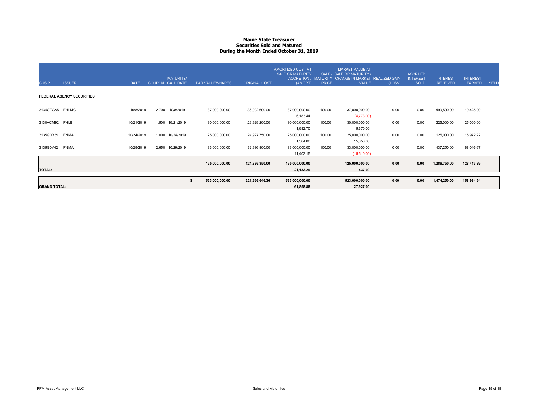#### **Maine State Treasurer Securities Sold and MaturedDuring the Month Ended October 31, 2019**

| <b>CUSIP</b>        | <b>ISSUER</b>                    | <b>DATE</b> | <b>MATURITY/</b><br>COUPON CALL DATE | PAR VALUE/SHARES | <b>ORIGINAL COST</b> | AMORTIZED COST AT<br><b>SALE OR MATURITY</b><br>(AMORT) | <b>PRICE</b> | <b>MARKET VALUE AT</b><br>SALE / SALE OR MATURITY /<br>ACCRETION / MATURITY CHANGE IN MARKET REALIZED GAIN<br><b>VALUE</b> | (LOSS) | <b>ACCRUED</b><br><b>INTEREST</b><br><b>SOLD</b> | <b>INTEREST</b><br><b>RECEIVED</b> | <b>INTEREST</b><br><b>EARNED</b> | <b>YIELD</b> |
|---------------------|----------------------------------|-------------|--------------------------------------|------------------|----------------------|---------------------------------------------------------|--------------|----------------------------------------------------------------------------------------------------------------------------|--------|--------------------------------------------------|------------------------------------|----------------------------------|--------------|
|                     | <b>FEDERAL AGENCY SECURITIES</b> |             |                                      |                  |                      |                                                         |              |                                                                                                                            |        |                                                  |                                    |                                  |              |
| 3134GTGA5 FHLMC     |                                  | 10/8/2019   | 2.700<br>10/8/2019                   | 37,000,000.00    | 36,992,600.00        | 37,000,000.00<br>6,183.44                               | 100.00       | 37,000,000.00<br>(4,773.00)                                                                                                | 0.00   | 0.00                                             | 499,500.00                         | 19,425.00                        |              |
| 3130ACM92 FHLB      |                                  | 10/21/2019  | 1.500<br>10/21/2019                  | 30,000,000.00    | 29,929,200.00        | 30,000,000.00                                           | 100.00       | 30,000,000.00                                                                                                              | 0.00   | 0.00                                             | 225,000.00                         | 25,000.00                        |              |
| 3135G0R39           | <b>FNMA</b>                      | 10/24/2019  | 1.000<br>10/24/2019                  | 25,000,000.00    | 24,927,750.00        | 1,982.70<br>25,000,000.00                               | 100.00       | 5,670.00<br>25,000,000.00                                                                                                  | 0.00   | 0.00                                             | 125,000.00                         | 15,972.22                        |              |
| 3135G0V42           | <b>FNMA</b>                      | 10/29/2019  | 2.650<br>10/29/2019                  | 33,000,000.00    | 32,986,800.00        | 1,564.00<br>33,000,000.00<br>11,403.15                  | 100.00       | 15,050.00<br>33,000,000.00<br>(15,510.00)                                                                                  | 0.00   | 0.00                                             | 437,250.00                         | 68,016.67                        |              |
| <b>TOTAL:</b>       |                                  |             |                                      | 125,000,000.00   | 124,836,350.00       | 125,000,000.00<br>21,133.29                             |              | 125,000,000.00<br>437.00                                                                                                   | 0.00   | 0.00                                             | 1,286,750.00                       | 128,413.89                       |              |
| <b>GRAND TOTAL:</b> |                                  |             |                                      | 523,000,000.00   | 521,966,646.36       | 523,000,000.00<br>61,858.88                             |              | 523,000,000.00<br>27,927.00                                                                                                | 0.00   | 0.00                                             | 1,474,250.00                       | 158,984.54                       |              |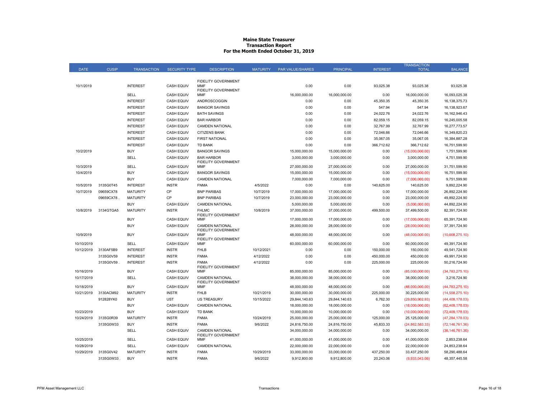#### **Maine State Treasurer Transaction Report For the Month Ended October 31, 2019**

|             |              |                               |                                   |                                          |                          |                                |                                |                    | <b>TRANSACTION</b> |                   |
|-------------|--------------|-------------------------------|-----------------------------------|------------------------------------------|--------------------------|--------------------------------|--------------------------------|--------------------|--------------------|-------------------|
| <b>DATE</b> | <b>CUSIP</b> | <b>TRANSACTION</b>            | <b>SECURITY TYPE</b>              | <b>DESCRIPTION</b>                       | <b>MATURITY</b>          | <b>PAR VALUE/SHARES</b>        | <b>PRINCIPAL</b>               | <b>INTEREST</b>    | <b>TOTAL</b>       | <b>BALANCE</b>    |
|             |              |                               |                                   |                                          |                          |                                |                                |                    |                    |                   |
|             |              | <b>INTEREST</b>               | <b>CASH EQUIV</b>                 | <b>FIDELITY GOVERNMENT</b><br><b>MMF</b> |                          |                                |                                |                    |                    |                   |
| 10/1/2019   |              |                               |                                   | <b>FIDELITY GOVERNMENT</b>               |                          | 0.00                           | 0.00                           | 93,025.38          | 93,025.38          | 93,025.38         |
|             |              | SELL                          | <b>CASH EQUIV</b>                 | <b>MMF</b>                               |                          | 16,000,000.00                  | 16,000,000.00                  | 0.00               | 16,000,000.00      | 16,093,025.38     |
|             |              | <b>INTEREST</b>               | <b>CASH EQUIV</b>                 | ANDROSCOGGIN                             |                          | 0.00                           | 0.00                           | 45,350.35          | 45,350.35          | 16, 138, 375. 73  |
|             |              | <b>INTEREST</b>               | <b>CASH EQUIV</b>                 | <b>BANGOR SAVINGS</b>                    |                          | 0.00                           | 0.00                           | 547.94             | 547.94             | 16,138,923.67     |
|             |              | <b>INTEREST</b>               | <b>CASH EQUIV</b>                 | <b>BATH SAVINGS</b>                      |                          | 0.00                           | 0.00                           | 24,022.76          | 24,022.76          | 16, 162, 946. 43  |
|             |              | <b>INTEREST</b>               | <b>CASH EQUIV</b>                 | <b>BAR HARBOR</b>                        |                          | 0.00                           | 0.00                           | 82,059.15          | 82,059.15          | 16,245,005.58     |
|             |              | <b>INTEREST</b>               | <b>CASH EQUIV</b>                 | <b>CAMDEN NATIONAL</b>                   |                          | 0.00                           | 0.00                           | 32,767.99          | 32,767.99          | 16,277,773.57     |
|             |              | <b>INTEREST</b>               | <b>CASH EQUIV</b>                 | <b>CITIZENS BANK</b>                     |                          | 0.00                           | 0.00                           | 72,046.66          | 72,046.66          | 16,349,820.23     |
|             |              | <b>INTEREST</b>               | <b>CASH EQUIV</b>                 | <b>FIRST NATIONAL</b>                    |                          | 0.00                           | 0.00                           | 35,067.05          | 35,067.05          | 16,384,887.28     |
|             |              | <b>INTEREST</b>               | <b>CASH EQUIV</b>                 | <b>TD BANK</b>                           |                          | 0.00                           | 0.00                           | 366,712.62         | 366,712.62         | 16,751,599.90     |
| 10/2/2019   |              | <b>BUY</b>                    | <b>CASH EQUIV</b>                 | <b>BANGOR SAVINGS</b>                    |                          | 15,000,000.00                  | 15,000,000.00                  | 0.00               | (15,000,000.00)    | 1,751,599.90      |
|             |              | SELL                          | <b>CASH EQUIV</b>                 | <b>BAR HARBOR</b>                        |                          | 3,000,000.00                   | 3,000,000.00                   | 0.00               | 3,000,000.00       | 4,751,599.90      |
| 10/3/2019   |              | SELL                          | <b>CASH EQUIV</b>                 | FIDELITY GOVERNMENT<br>MMF               |                          | 27,000,000.00                  | 27,000,000.00                  | 0.00               | 27,000,000.00      | 31,751,599.90     |
| 10/4/2019   |              | <b>BUY</b>                    | <b>CASH EQUIV</b>                 | <b>BANGOR SAVINGS</b>                    |                          | 15,000,000.00                  | 15,000,000.00                  | 0.00               | (15,000,000.00)    | 16,751,599.90     |
|             |              | <b>BUY</b>                    | <b>CASH EQUIV</b>                 | <b>CAMDEN NATIONAL</b>                   |                          | 7,000,000.00                   | 7,000,000.00                   | 0.00               | (7,000,000.00)     | 9,751,599.90      |
| 10/5/2019   | 3135G0T45    | <b>INTEREST</b>               | <b>INSTR</b>                      | <b>FNMA</b>                              | 4/5/2022                 | 0.00                           | 0.00                           | 140,625.00         | 140,625.00         | 9,892,224.90      |
| 10/7/2019   | 09659CX78    | <b>MATURITY</b>               | CP                                | <b>BNP PARIBAS</b>                       | 10/7/2019                | 17,000,000.00                  | 17,000,000.00                  | 0.00               | 17,000,000.00      | 26,892,224.90     |
|             | 09659CX78.   | <b>MATURITY</b>               | CP                                | <b>BNP PARIBAS</b>                       | 10/7/2019                | 23,000,000.00                  | 23,000,000.00                  | 0.00               | 23,000,000.00      | 49,892,224.90     |
|             |              | <b>BUY</b>                    | <b>CASH EQUIV</b>                 | <b>CAMDEN NATIONAL</b>                   |                          | 5,000,000.00                   | 5,000,000.00                   | 0.00               | (5,000,000.00)     | 44,892,224.90     |
| 10/8/2019   | 3134GTGA5    | <b>MATURITY</b>               | <b>INSTR</b>                      | <b>FHLMC</b>                             | 10/8/2019                | 37,000,000.00                  | 37,000,000.00                  | 499,500.00         | 37,499,500.00      | 82,391,724.90     |
|             |              |                               |                                   | FIDELITY GOVERNMENT                      |                          |                                |                                |                    |                    |                   |
|             |              | <b>BUY</b>                    | <b>CASH EQUIV</b>                 | <b>MMF</b>                               |                          | 17,000,000.00                  | 17,000,000.00                  | 0.00               | (17,000,000.00)    | 65,391,724.90     |
|             |              | <b>BUY</b>                    | <b>CASH EQUIV</b>                 | <b>CAMDEN NATIONAL</b>                   |                          | 28,000,000.00                  | 28,000,000.00                  | 0.00               | (28,000,000.00)    | 37,391,724.90     |
| 10/9/2019   |              | <b>BUY</b>                    | <b>CASH EQUIV</b>                 | <b>FIDELITY GOVERNMENT</b><br><b>MMF</b> |                          | 48,000,000.00                  | 48,000,000.00                  | 0.00               | (48,000,000.00)    | (10,608,275.10)   |
|             |              |                               |                                   | <b>FIDELITY GOVERNMENT</b>               |                          |                                |                                |                    |                    |                   |
| 10/10/2019  |              | SELL                          | <b>CASH EQUIV</b>                 | MMF                                      |                          | 60,000,000.00                  | 60,000,000.00                  | 0.00               | 60,000,000.00      | 49,391,724.90     |
| 10/12/2019  | 3130AF5B9    | <b>INTEREST</b>               | <b>INSTR</b>                      | <b>FHLB</b>                              | 10/12/2021               | 0.00                           | 0.00                           | 150,000.00         | 150,000.00         | 49,541,724.90     |
|             | 3135G0V59    | <b>INTEREST</b>               | <b>INSTR</b>                      | <b>FNMA</b>                              | 4/12/2022                | 0.00                           | 0.00                           | 450,000.00         | 450,000.00         | 49,991,724.90     |
|             | 3135G0V59    | <b>INTEREST</b>               | <b>INSTR</b>                      | <b>FNMA</b><br>FIDELITY GOVERNMENT       | 4/12/2022                | 0.00                           | 0.00                           | 225,000.00         | 225,000.00         | 50,216,724.90     |
| 10/16/2019  |              | <b>BUY</b>                    | <b>CASH EQUIV</b>                 | MMF                                      |                          | 85,000,000.00                  | 85,000,000.00                  | 0.00               | (85,000,000.00)    | (34,783,275.10)   |
| 10/17/2019  |              | SELL                          | <b>CASH EQUIV</b>                 | <b>CAMDEN NATIONAL</b>                   |                          | 38,000,000.00                  | 38,000,000.00                  | 0.00               | 38,000,000.00      | 3,216,724.90      |
|             |              | <b>BUY</b>                    |                                   | <b>FIDELITY GOVERNMENT</b><br><b>MMF</b> |                          |                                |                                |                    |                    |                   |
| 10/18/2019  | 3130ACM92    | <b>MATURITY</b>               | <b>CASH EQUIV</b><br><b>INSTR</b> | <b>FHLB</b>                              |                          | 48,000,000.00                  | 48,000,000.00                  | 0.00<br>225,000.00 | (48,000,000.00)    | (44, 783, 275.10) |
| 10/21/2019  | 912828YK0    | <b>BUY</b>                    | <b>UST</b>                        | <b>US TREASURY</b>                       | 10/21/2019<br>10/15/2022 | 30,000,000.00<br>29,844,140.63 | 30,000,000.00<br>29,844,140.63 | 6,762.30           | 30,225,000.00      | (14, 558, 275.10) |
|             |              |                               | <b>CASH EQUIV</b>                 | <b>CAMDEN NATIONAL</b>                   |                          |                                |                                |                    | (29,850,902.93)    | (44, 409, 178.03) |
|             |              | <b>BUY</b>                    |                                   | <b>TD BANK</b>                           |                          | 18,000,000.00                  | 18,000,000.00                  | 0.00               | (18,000,000.00)    | (62, 409, 178.03) |
| 10/23/2019  |              | <b>BUY</b><br><b>MATURITY</b> | <b>CASH EQUIV</b><br><b>INSTR</b> |                                          |                          | 10,000,000.00                  | 10,000,000.00                  | 0.00               | (10,000,000.00)    | (72, 409, 178.03) |
| 10/24/2019  | 3135G0R39    | <b>BUY</b>                    | <b>INSTR</b>                      | <b>FNMA</b><br><b>FNMA</b>               | 10/24/2019               | 25,000,000.00                  | 25,000,000.00                  | 125,000.00         | 25,125,000.00      | (47, 284, 178.03) |
|             | 3135G0W33    |                               |                                   | <b>CAMDEN NATIONAL</b>                   | 9/6/2022                 | 24,816,750.00                  | 24,816,750.00                  | 45,833.33          | (24, 862, 583.33)  | (72, 146, 761.36) |
|             |              | SELL                          | <b>CASH EQUIV</b>                 | <b>FIDELITY GOVERNMENT</b>               |                          | 34,000,000.00                  | 34,000,000.00                  | 0.00               | 34,000,000.00      | (38, 146, 761.36) |
| 10/25/2019  |              | SELL                          | <b>CASH EQUIV</b>                 | MMF                                      |                          | 41,000,000.00                  | 41,000,000.00                  | 0.00               | 41,000,000.00      | 2,853,238.64      |
| 10/28/2019  |              | SELL                          | <b>CASH EQUIV</b>                 | <b>CAMDEN NATIONAL</b>                   |                          | 22,000,000.00                  | 22,000,000.00                  | 0.00               | 22,000,000.00      | 24,853,238.64     |
| 10/29/2019  | 3135G0V42    | <b>MATURITY</b>               | <b>INSTR</b>                      | <b>FNMA</b>                              | 10/29/2019               | 33,000,000.00                  | 33,000,000.00                  | 437,250.00         | 33,437,250.00      | 58,290,488.64     |
|             | 3135G0W33    | <b>BUY</b>                    | <b>INSTR</b>                      | <b>FNMA</b>                              | 9/6/2022                 | 9,912,800.00                   | 9,912,800.00                   | 20,243.06          | (9,933,043.06)     | 48, 357, 445.58   |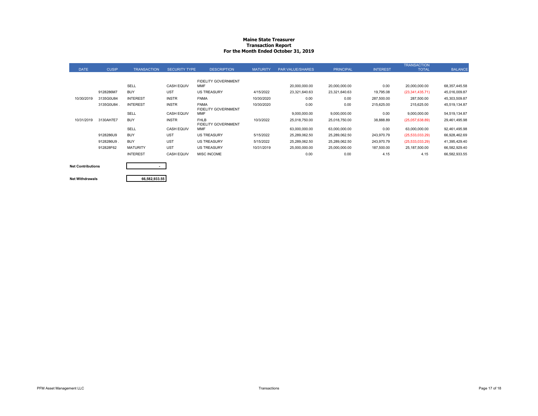#### **Maine State Treasurer Transaction Report For the Month Ended October 31, 2019**

|             |              |                    |                      |                            |                 |                         |                  |                 | <b>TRANSACTION</b> |                 |
|-------------|--------------|--------------------|----------------------|----------------------------|-----------------|-------------------------|------------------|-----------------|--------------------|-----------------|
| <b>DATE</b> | <b>CUSIP</b> | <b>TRANSACTION</b> | <b>SECURITY TYPE</b> | <b>DESCRIPTION</b>         | <b>MATURITY</b> | <b>PAR VALUE/SHARES</b> | <b>PRINCIPAL</b> | <b>INTEREST</b> | <b>TOTAL</b>       | <b>BALANCE</b>  |
|             |              |                    |                      |                            |                 |                         |                  |                 |                    |                 |
|             |              |                    |                      | <b>FIDELITY GOVERNMENT</b> |                 |                         |                  |                 |                    |                 |
|             |              | <b>SELL</b>        | <b>CASH EQUIV</b>    | <b>MMF</b>                 |                 | 20,000,000.00           | 20,000,000.00    | 0.00            | 20,000,000.00      | 68, 357, 445.58 |
|             | 9128286M7    | <b>BUY</b>         | UST                  | <b>US TREASURY</b>         | 4/15/2022       | 23,321,640.63           | 23,321,640.63    | 19,795.08       | (23,341,435.71)    | 45,016,009.87   |
| 10/30/2019  | 3135G0U84    | <b>INTEREST</b>    | <b>INSTR</b>         | <b>FNMA</b>                | 10/30/2020      | 0.00                    | 0.00             | 287,500.00      | 287,500.00         | 45,303,509.87   |
|             | 3135G0U84.   | <b>INTEREST</b>    | <b>INSTR</b>         | <b>FNMA</b>                | 10/30/2020      | 0.00                    | 0.00             | 215,625.00      | 215,625.00         | 45,519,134.87   |
|             |              |                    |                      | <b>FIDELITY GOVERNMENT</b> |                 |                         |                  |                 |                    |                 |
|             |              | SELL               | <b>CASH EQUIV</b>    | <b>MMF</b>                 |                 | 9,000,000.00            | 9,000,000.00     | 0.00            | 9,000,000.00       | 54,519,134.87   |
| 10/31/2019  | 3130AH7E7    | <b>BUY</b>         | <b>INSTR</b>         | <b>FHLB</b>                | 10/3/2022       | 25,018,750.00           | 25,018,750.00    | 38,888.89       | (25,057,638.89)    | 29,461,495.98   |
|             |              |                    |                      | <b>FIDELITY GOVERNMENT</b> |                 |                         |                  |                 |                    |                 |
|             |              | <b>SELL</b>        | <b>CASH EQUIV</b>    | <b>MMF</b>                 |                 | 63,000,000.00           | 63,000,000.00    | 0.00            | 63,000,000.00      | 92,461,495.98   |
|             | 9128286U9    | <b>BUY</b>         | <b>UST</b>           | <b>US TREASURY</b>         | 5/15/2022       | 25,289,062.50           | 25,289,062.50    | 243,970.79      | (25,533,033.29)    | 66,928,462.69   |
|             | 9128286U9    | <b>BUY</b>         | <b>UST</b>           | <b>US TREASURY</b>         | 5/15/2022       | 25,289,062.50           | 25,289,062.50    | 243,970.79      | (25,533,033.29)    | 41,395,429.40   |
|             | 912828F62    | <b>MATURITY</b>    | <b>UST</b>           | <b>US TREASURY</b>         | 10/31/2019      | 25,000,000.00           | 25,000,000.00    | 187,500.00      | 25,187,500.00      | 66,582,929.40   |
|             |              | <b>INTEREST</b>    | <b>CASH EQUIV</b>    | <b>MISC INCOME</b>         |                 | 0.00                    | 0.00             | 4.15            | 4.15               | 66,582,933.55   |
|             |              |                    |                      |                            |                 |                         |                  |                 |                    |                 |

**Net Contributions**

**-**

**Net Withdrawals**

**66,582,933.55**